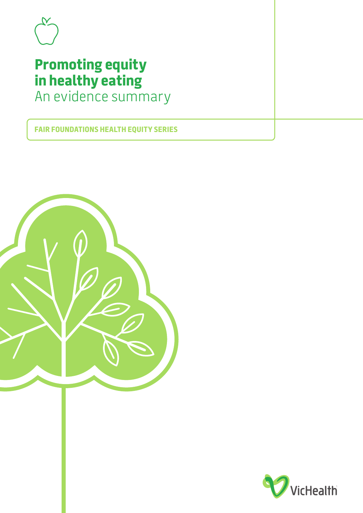

# **Promoting equity in healthy eating** An evidence summary

**FAIR FOUNDATIONS HEALTH EQUITY SERIES**



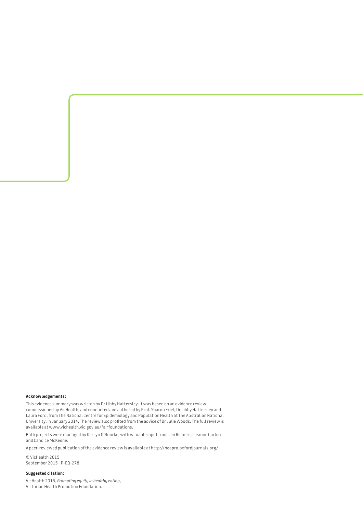#### **Acknowledgements:**

This evidence summary was written by Dr Libby Hattersley. It was based on an evidence review commissioned by VicHealth, and conducted and authored by Prof. Sharon Friel, Dr Libby Hattersley and Laura Ford, from The National Centre for Epidemiology and Population Health at The Australian National University, in January 2014. The review also profited from the advice of Dr Julie Woods. The full review is available at [www.vichealth.vic.gov.au/fairfoundations.](http://www.vichealth.vic.gov.au/fairfoundations)

Both projects were managed by Kerryn O'Rourke, with valuable input from Jen Reimers, Leanne Carlon and Candice McKeone.

A peer-reviewed publication of the evidence review is available at <http://heapro.oxfordjournals.org/>

© VicHealth 2015 September 2015 P-EQ-278

#### **Suggested citation:**

VicHealth 2015, *Promoting equity in healthy eating*, Victorian Health Promotion Foundation.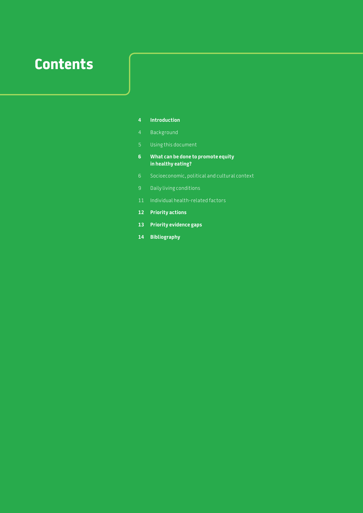# **Contents**

- **Introduction**
- Background
- Using this document
- **6 What can be done to promote equity in healthy eating?**
- Socioeconomic, political and cultural context
- Daily living conditions
- Individual health-related factors
- **Priority actions**
- **Priority evidence gaps**
- **Bibliography**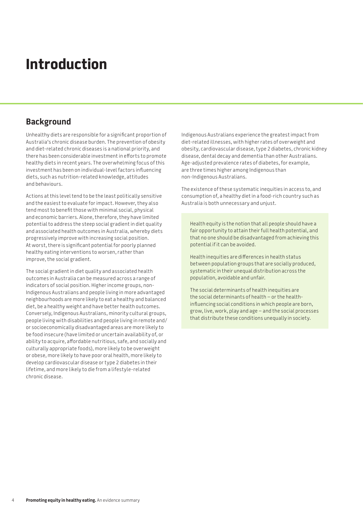# **Introduction**

# **Background**

Unhealthy diets are responsible for a significant proportion of Australia's chronic disease burden. The prevention of obesity and diet-related chronic diseases is a national priority, and there has been considerable investment in efforts to promote healthy diets in recent years. The overwhelming focus of this investment has been on individual-level factors influencing diets, such as nutrition-related knowledge, attitudes and behaviours.

Actions at this level tend to be the least politically sensitive and the easiest to evaluate for impact. However, they also tend most to benefit those with minimal social, physical and economic barriers. Alone, therefore, they have limited potential to address the steep social gradient in diet quality and associated health outcomes in Australia, whereby diets progressively improve with increasing social position. At worst, there is significant potential for poorly planned healthy eating interventions to worsen, rather than improve, the social gradient.

The social gradient in diet quality and associated health outcomes in Australia can be measured across a range of indicators of social position. Higher income groups, non-Indigenous Australians and people living in more advantaged neighbourhoods are more likely to eat a healthy and balanced diet, be a healthy weight and have better health outcomes. Conversely, Indigenous Australians, minority cultural groups, people living with disabilities and people living in remote and/ or socioeconomically disadvantaged areas are more likely to be food insecure (have limited or uncertain availability of, or ability to acquire, affordable nutritious, safe, and socially and culturally appropriate foods), more likely to be overweight or obese, more likely to have poor oral health, more likely to develop cardiovascular disease or type 2 diabetes in their lifetime, and more likely to die from a lifestyle-related chronic disease.

Indigenous Australians experience the greatest impact from diet-related illnesses, with higher rates of overweight and obesity, cardiovascular disease, type 2 diabetes, chronic kidney disease, dental decay and dementia than other Australians. Age-adjusted prevalence rates of diabetes, for example, are three times higher among Indigenous than non-Indigenous Australians.

The existence of these systematic inequities in access to, and consumption of, a healthy diet in a food-rich country such as Australia is both unnecessary and unjust.

Health equity is the notion that all people should have a fair opportunity to attain their full health potential, and that no one should be disadvantaged from achieving this potential if it can be avoided.

Health inequities are differences in health status between population groups that are socially produced, systematic in their unequal distribution across the population, avoidable and unfair.

The social determinants of health inequities are the social determinants of health – or the healthinfluencing social conditions in which people are born, grow, live, work, play and age – and the social processes that distribute these conditions unequally in society.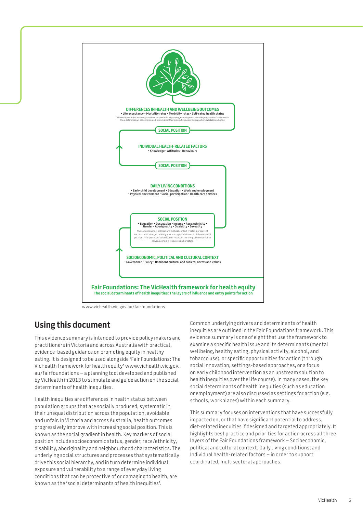

[www.vichealth.vic.gov.au/fairfoundations](http://www.vichealth.vic.gov.au/fairfoundations)

# **Using this document**

This evidence summary is intended to provide policy makers and practitioners in Victoria and across Australia with practical, evidence-based guidance on promoting equity in healthy eating. It is designed to be used alongside 'Fair Foundations: The VicHealth framework for health equity' [www.vichealth.vic.gov.](http://www.vichealth.vic.gov) au/fairfoundations – a planning tool developed and published by VicHealth in 2013 to stimulate and guide action on the social determinants of health inequities.

Health inequities are differences in health status between population groups that are socially produced, systematic in their unequal distribution across the population, avoidable and unfair. In Victoria and across Australia, health outcomes progressively improve with increasing social position. This is known as the social gradient in health. Key markers of social position include socioeconomic status, gender, race/ethnicity, disability, aboriginality and neighbourhood characteristics. The underlying social structures and processes that systematically drive this social hierarchy, and in turn determine individual exposure and vulnerability to a range of everyday living conditions that can be protective of or damaging to health, are known as the 'social determinants of health inequities'.

Common underlying drivers and determinants of health inequities are outlined in the Fair Foundations framework. This evidence summary is one of eight that use the framework to examine a specific health issue and its determinants (mental wellbeing, healthy eating, physical activity, alcohol, and tobacco use), or specific opportunities for action (through social innovation, settings-based approaches, or a focus on early childhood intervention as an upstream solution to health inequities over the life course). In many cases, the key social determinants of health inequities (such as education or employment) are also discussed as settings for action (e.g. schools, workplaces) within each summary.

This summary focuses on interventions that have successfully impacted on, or that have significant potential to address, diet-related inequities if designed and targeted appropriately. It highlights best practice and priorities for action across all three layers of the Fair Foundations framework – Socioeconomic, political and cultural context; Daily living conditions; and Individual health-related factors – in order to support coordinated, multisectoral approaches.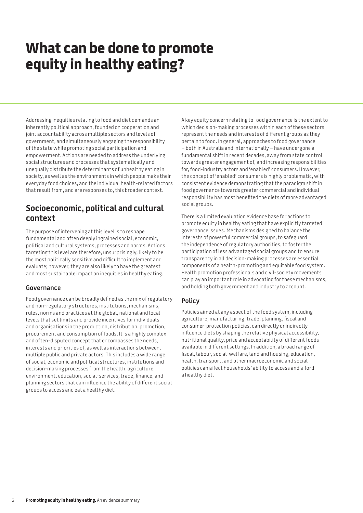# **What can be done to promote equity in healthy eating?**

Addressing inequities relating to food and diet demands an inherently political approach, founded on cooperation and joint accountability across multiple sectors and levels of government, and simultaneously engaging the responsibility of the state while promoting social participation and empowerment. Actions are needed to address the underlying social structures and processes that systematically and unequally distribute the determinants of unhealthy eating in society, as well as the environments in which people make their everyday food choices, and the individual health-related factors that result from, and are responses to, this broader context.

# **Socioeconomic, political and cultural context**

The purpose of intervening at this level is to reshape fundamental and often deeply ingrained social, economic, political and cultural systems, processes and norms. Actions targeting this level are therefore, unsurprisingly, likely to be the most politically sensitive and difficult to implement and evaluate; however, they are also likely to have the greatest and most sustainable impact on inequities in healthy eating.

## **Governance**

Food governance can be broadly defined as the mix of regulatory and non-regulatory structures, institutions, mechanisms, rules, norms and practices at the global, national and local levels that set limits and provide incentives for individuals and organisations in the production, distribution, promotion, procurement and consumption of foods. It is a highly complex and often-disputed concept that encompasses the needs, interests and priorities of, as well as interactions between, multiple public and private actors. This includes a wide range of social, economic and political structures, institutions and decision-making processes from the health, agriculture, environment, education, social-services, trade, finance, and planning sectors that can influence the ability of different social groups to access and eat a healthy diet.

A key equity concern relating to food governance is the extent to which decision-making processes within each of these sectors represent the needs and interests of different groups as they pertain to food. In general, approaches to food governance – both in Australia and internationally – have undergone a fundamental shift in recent decades, away from state control towards greater engagement of, and increasing responsibilities for, food-industry actors and 'enabled' consumers. However, the concept of 'enabled' consumers is highly problematic, with consistent evidence demonstrating that the paradigm shift in food governance towards greater commercial and individual responsibility has most benefited the diets of more advantaged social groups.

There is a limited evaluation evidence base for actions to promote equity in healthy eating that have explicitly targeted governance issues. Mechanisms designed to balance the interests of powerful commercial groups, to safeguard the independence of regulatory authorities, to foster the participation of less advantaged social groups and to ensure transparency in all decision-making processes are essential components of a health-promoting and equitable food system. Health promotion professionals and civil-society movements can play an important role in advocating for these mechanisms, and holding both government and industry to account.

## **Policy**

Policies aimed at any aspect of the food system, including agriculture, manufacturing, trade, planning, fiscal and consumer-protection policies, can directly or indirectly influence diets by shaping the relative physical accessibility, nutritional quality, price and acceptability of different foods available in different settings. In addition, a broad range of fiscal, labour, social-welfare, land and housing, education, health, transport, and other macroeconomic and social policies can affect households' ability to access and afford a healthy diet.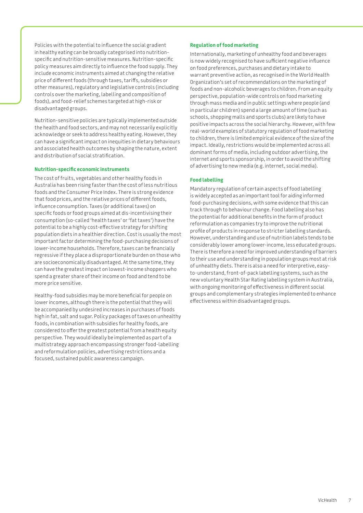Policies with the potential to influence the social gradient in healthy eating can be broadly categorised into nutritionspecific and nutrition-sensitive measures. Nutrition-specific policy measures aim directly to influence the food supply. They include economic instruments aimed at changing the relative price of different foods (through taxes, tariffs, subsidies or other measures), regulatory and legislative controls (including controls over the marketing, labelling and composition of foods), and food-relief schemes targeted at high-risk or disadvantaged groups.

Nutrition-sensitive policies are typically implemented outside the health and food sectors, and may not necessarily explicitly acknowledge or seek to address healthy eating. However, they can have a significant impact on inequities in dietary behaviours and associated health outcomes by shaping the nature, extent and distribution of social stratification.

#### **Nutrition-specific economic instruments**

The cost of fruits, vegetables and other healthy foods in Australia has been rising faster than the cost of less nutritious foods and the Consumer Price Index. There is strong evidence that food prices, and the relative prices of different foods, influence consumption. Taxes (or additional taxes) on specific foods or food groups aimed at dis-incentivising their consumption (so-called 'health taxes' or 'fat taxes') have the potential to be a highly cost-effective strategy for shifting population diets in a healthier direction. Cost is usually the most important factor determining the food-purchasing decisions of lower-income households. Therefore, taxes can be financially regressive if they place a disproportionate burden on those who are socioeconomically disadvantaged. At the same time, they can have the greatest impact on lowest-income shoppers who spend a greater share of their income on food and tend to be more price sensitive.

Healthy-food subsidies may be more beneficial for people on lower incomes, although there is the potential that they will be accompanied by undesired increases in purchases of foods high in fat, salt and sugar. Policy packages of taxes on unhealthy foods, in combination with subsidies for healthy foods, are considered to offer the greatest potential from a health equity perspective. They would ideally be implemented as part of a multistrategy approach encompassing stronger food-labelling and reformulation policies, advertising restrictions and a focused, sustained public awareness campaign.

#### **Regulation of food marketing**

Internationally, marketing of unhealthy food and beverages is now widely recognised to have sufficient negative influence on food preferences, purchases and dietary intake to warrant preventive action, as recognised in the World Health Organization's set of recommendations on the marketing of foods and non-alcoholic beverages to children. From an equity perspective, population-wide controls on food marketing through mass media and in public settings where people (and in particular children) spend a large amount of time (such as schools, shopping malls and sports clubs) are likely to have positive impacts across the social hierarchy. However, with few real-world examples of statutory regulation of food marketing to children, there is limited empirical evidence of the size of the impact. Ideally, restrictions would be implemented across all dominant forms of media, including outdoor advertising, the internet and sports sponsorship, in order to avoid the shifting of advertising to new media (e.g. internet, social media).

### **Food labelling**

Mandatory regulation of certain aspects of food labelling is widely accepted as an important tool for aiding informed food-purchasing decisions, with some evidence that this can track through to behaviour change. Food labelling also has the potential for additional benefits in the form of product reformulation as companies try to improve the nutritional profile of products in response to stricter labelling standards. However, understanding and use of nutrition labels tends to be considerably lower among lower-income, less educated groups. There is therefore a need for improved understanding of barriers to their use and understanding in population groups most at risk of unhealthy diets. There is also a need for interpretive, easyto-understand, front-of-pack labelling systems, such as the new voluntary Health Star Rating labelling system in Australia, with ongoing monitoring of effectiveness in different social groups and complementary strategies implemented to enhance effectiveness within disadvantaged groups.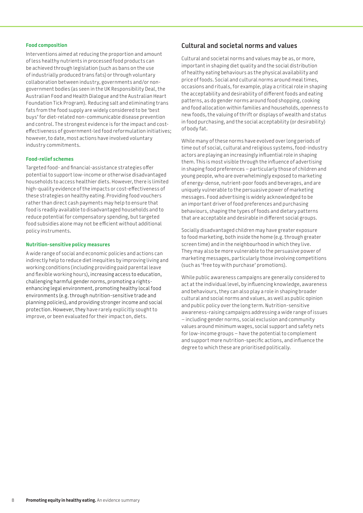#### **Food composition**

Interventions aimed at reducing the proportion and amount of less healthy nutrients in processed food products can be achieved through legislation (such as bans on the use of industrially produced trans fats) or through voluntary collaboration between industry, governments and/or nongovernment bodies (as seen in the UK Responsibility Deal, the Australian Food and Health Dialogue and the Australian Heart Foundation Tick Program). Reducing salt and eliminating trans fats from the food supply are widely considered to be 'best buys' for diet-related non-communicable disease prevention and control. The strongest evidence is for the impact and costeffectiveness of government-led food reformulation initiatives; however, to date, most actions have involved voluntary industry commitments.

#### **Food-relief schemes**

Targeted food- and financial-assistance strategies offer potential to support low-income or otherwise disadvantaged households to access healthier diets. However, there is limited high-quality evidence of the impacts or cost-effectiveness of these strategies on healthy eating. Providing food vouchers rather than direct cash payments may help to ensure that food is readily available to disadvantaged households and to reduce potential for compensatory spending, but targeted food subsidies alone may not be efficient without additional policy instruments.

#### **Nutrition-sensitive policy measures**

A wide range of social and economic policies and actions can indirectly help to reduce diet inequities by improving living and working conditions (including providing paid parental leave and flexible working hours), increasing access to education, challenging harmful gender norms, promoting a rightsenhancing legal environment, promoting healthy local food environments (e.g. through nutrition-sensitive trade and planning policies), and providing stronger income and social protection. However, they have rarely explicitly sought to improve, or been evaluated for their impact on, diets.

## **Cultural and societal norms and values**

Cultural and societal norms and values may be as, or more, important in shaping diet quality and the social distribution of healthy eating behaviours as the physical availability and price of foods. Social and cultural norms around meal times, occasions and rituals, for example, play a critical role in shaping the acceptability and desirability of different foods and eating patterns, as do gender norms around food shopping, cooking and food allocation within families and households, openness to new foods, the valuing of thrift or displays of wealth and status in food purchasing, and the social acceptability (or desirability) of body fat.

While many of these norms have evolved over long periods of time out of social, cultural and religious systems, food-industry actors are playing an increasingly influential role in shaping them. This is most visible through the influence of advertising in shaping food preferences – particularly those of children and young people, who are overwhelmingly exposed to marketing of energy-dense, nutrient-poor foods and beverages, and are uniquely vulnerable to the persuasive power of marketing messages. Food advertising is widely acknowledged to be an important driver of food preferences and purchasing behaviours, shaping the types of foods and dietary patterns that are acceptable and desirable in different social groups.

Socially disadvantaged children may have greater exposure to food marketing, both inside the home (e.g. through greater screen time) and in the neighbourhood in which they live. They may also be more vulnerable to the persuasive power of marketing messages, particularly those involving competitions (such as 'free toy with purchase' promotions).

While public awareness campaigns are generally considered to act at the individual level, by influencing knowledge, awareness and behaviours, they can also play a role in shaping broader cultural and social norms and values, as well as public opinion and public policy over the long term. Nutrition-sensitive awareness-raising campaigns addressing a wide range of issues – including gender norms, social exclusion and community values around minimum wages, social support and safety nets for low-income groups – have the potential to complement and support more nutrition-specific actions, and influence the degree to which these are prioritised politically.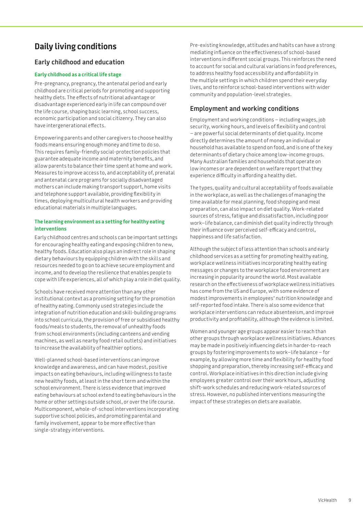# **Daily living conditions**

# **Early childhood and education**

### **Early childhood as a critical life stage**

Pre-pregnancy, pregnancy, the antenatal period and early childhood are critical periods for promoting and supporting healthy diets. The effects of nutritional advantage or disadvantage experienced early in life can compound over the life course, shaping basic learning, school success, economic participation and social citizenry. They can also have intergenerational effects.

Empowering parents and other caregivers to choose healthy foods means ensuring enough money and time to do so. This requires family-friendly social-protection policies that guarantee adequate income and maternity benefits, and allow parents to balance their time spent at home and work. Measures to improve access to, and acceptability of, prenatal and antenatal care programs for socially disadvantaged mothers can include making transport support, home visits and telephone support available, providing flexibility in times, deploying multicultural health workers and providing educational materials in multiple languages.

### **The learning environment as a setting for healthy eating interventions**

Early childhood centres and schools can be important settings for encouraging healthy eating and exposing children to new, healthy foods. Education also plays an indirect role in shaping dietary behaviours by equipping children with the skills and resources needed to go on to achieve secure employment and income, and to develop the resilience that enables people to cope with life experiences, all of which play a role in diet quality.

Schools have received more attention than any other institutional context as a promising setting for the promotion of healthy eating. Commonly used strategies include the integration of nutrition education and skill-building programs into school curricula, the provision of free or subsidised healthy foods/meals to students, the removal of unhealthy foods from school environments (including canteens and vending machines, as well as nearby food retail outlets) and initiatives to increase the availability of healthier options.

Well-planned school-based interventions can improve knowledge and awareness, and can have modest, positive impacts on eating behaviours, including willingness to taste new healthy foods, at least in the short term and within the school environment. There is less evidence that improved eating behaviours at school extend to eating behaviours in the home or other settings outside school, or over the life course. Multicomponent, whole-of-school interventions incorporating supportive school policies, and promoting parental and family involvement, appear to be more effective than single-strategy interventions.

Pre-existing knowledge, attitudes and habits can have a strong mediating influence on the effectiveness of school-based interventions in different social groups. This reinforces the need to account for social and cultural variations in food preferences, to address healthy food accessibility and affordability in the multiple settings in which children spend their everyday lives, and to reinforce school-based interventions with wider community and population-level strategies.

# **Employment and working conditions**

Employment and working conditions – including wages, job security, working hours, and levels of flexibility and control – are powerful social determinants of diet quality. Income directly determines the amount of money an individual or household has available to spend on food, and is one of the key determinants of dietary choice among low-income groups. Many Australian families and households that operate on low incomes or are dependent on welfare report that they experience difficulty in affording a healthy diet.

The types, quality and cultural acceptability of foods available in the workplace, as well as the challenges of managing the time available for meal planning, food shopping and meal preparation, can also impact on diet quality. Work-related sources of stress, fatigue and dissatisfaction, including poor work–life balance, can diminish diet quality indirectly through their influence over perceived self-efficacy and control, happiness and life satisfaction.

Although the subject of less attention than schools and early childhood services as a setting for promoting healthy eating, workplace wellness initiatives incorporating healthy eating messages or changes to the workplace food environment are increasing in popularity around the world. Most available research on the effectiveness of workplace wellness initiatives has come from the US and Europe, with some evidence of modest improvements in employees' nutrition knowledge and self-reported food intake. There is also some evidence that workplace interventions can reduce absenteeism, and improve productivity and profitability, although the evidence is limited.

Women and younger age groups appear easier to reach than other groups through workplace wellness initiatives. Advances may be made in positively influencing diets in harder-to-reach groups by fostering improvements to work–life balance – for example, by allowing more time and flexibility for healthy food shopping and preparation, thereby increasing self-efficacy and control. Workplace initiatives in this direction include giving employees greater control over their work hours, adjusting shift-work schedules and reducing work-related sources of stress. However, no published interventions measuring the impact of these strategies on diets are available.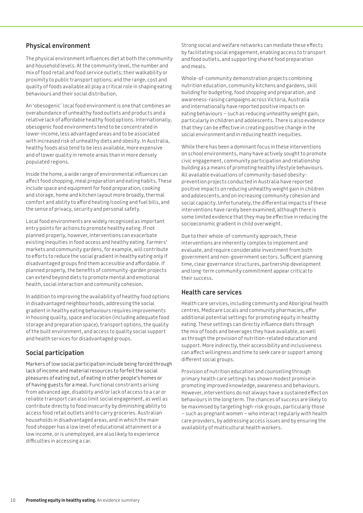## **Physical environment**

The physical environment influences diet at both the community and household levels. At the community level, the number and mix of food retail and food service outlets; their walkability or proximity to public transport options; and the range, cost and quality of foods available all play a critical role in shaping eating behaviours and their social distribution.

An 'obesogenic´ local food environment is one that combines an overabundance of unhealthy food outlets and products and a relative lack of affordable healthy food options. Internationally, obesogenic food environments tend to be concentrated in lower-income, less advantaged areas and to be associated with increased risk of unhealthy diets and obesity. In Australia, healthy foods also tend to be less available, more expensive and of lower quality in remote areas than in more densely populated regions.

Inside the home, a wide range of environmental influences can affect food shopping, meal preparation and eating habits. These include space and equipment for food preparation, cooking and storage, home and kitchen layout more broadly, thermal comfort and ability to afford heating/cooling and fuel bills, and the sense of privacy, security and personal safety.

Local food environments are widely recognised as important entry points for actions to promote healthy eating. If not planned properly, however, interventions can exacerbate existing inequities in food access and healthy eating. Farmers' markets and community gardens, for example, will contribute to efforts to reduce the social gradient in healthy eating only if disadvantaged groups find them accessible and affordable. If planned properly, the benefits of community-garden projects can extend beyond diets to promote mental and emotional health, social interaction and community cohesion.

In addition to improving the availability of healthy food options in disadvantaged neighbourhoods, addressing the social gradient in healthy eating behaviours requires improvements in housing quality, space and location (including adequate food storage and preparation space), transport options, the quality of the built environment, and access to quality social support and health services for disadvantaged groups.

# **Social participation**

Markers of low social participation include being forced through lack of income and material resources to forfeit the social pleasures of eating out, of eating in other people's homes or of having guests for a meal. Functional constraints arising from advanced age, disability and/or lack of access to a car or reliable transport can also limit social engagement, as well as contribute directly to food insecurity by diminishing ability to access food retail outlets and to carry groceries. Australian households in disadvantaged areas, and in which the main food shopper has a low level of educational attainment or a low income, or is unemployed, are also likely to experience difficulties in accessing a car.

Strong social and welfare networks can mediate these effects by facilitating social engagement, enabling access to transport and food outlets, and supporting shared food preparation and meals.

Whole-of-community demonstration projects combining nutrition education, community kitchens and gardens, skill building for budgeting, food shopping and preparation, and awareness-raising campaigns across Victoria, Australia and internationally have reported positive impacts on eating behaviours – such as reducing unhealthy weight gain, particularly in children and adolescents. There is also evidence that they can be effective in creating positive change in the social environment and in reducing health inequities.

While there has been a dominant focus in these interventions on school environments, many have actively sought to promote civic engagement, community participation and relationship building as a means of promoting healthy lifestyle behaviours. All available evaluations of community-based obesityprevention projects conducted in Australia have reported positive impacts on reducing unhealthy weight gain in children and adolescents, and on increasing community cohesion and social capacity. Unfortunately, the differential impacts of these interventions have rarely been examined, although there is some limited evidence that they may be effective in reducing the socioeconomic gradient in child overweight.

Due to their whole-of-community approach, these interventions are inherently complex to implement and evaluate, and require considerable investment from both government and non-government sectors. Sufficient planning time, clear governance structures, partnership development and long-term community commitment appear critical to their success.

### **Health care services**

Health care services, including community and Aboriginal health centres, Medicare Locals and community pharmacies, offer additional potential settings for promoting equity in healthy eating. These settings can directly influence diets through the mix of foods and beverages they have available, as well as through the provision of nutrition-related education and support. More indirectly, their accessibility and inclusiveness can affect willingness and time to seek care or support among different social groups.

Provision of nutrition education and counselling through primary health care settings has shown modest promise in promoting improved knowledge, awareness and behaviours. However, interventions do not always have a sustained effect on behaviours in the long term. The chances of success are likely to be maximised by targeting high-risk groups, particularly those – such as pregnant women – who interact regularly with health care providers, by addressing access issues and by ensuring the availability of multicultural health workers.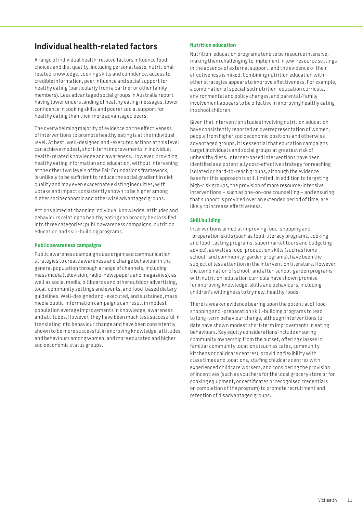# **Individual health-related factors**

A range of individual health-related factors influence food choices and diet quality, including personal taste, nutritionalrelated knowledge, cooking skills and confidence, access to credible information, peer influence and social support for healthy eating (particularly from a partner or other family members). Less advantaged social groups in Australia report having lower understanding of healthy eating messages, lower confidence in cooking skills and poorer social support for healthy eating than their more advantaged peers.

The overwhelming majority of evidence on the effectiveness of interventions to promote healthy eating is at the individual level. At best, well-designed and -executed actions at this level can achieve modest, short-term improvements in individual health-related knowledge and awareness. However, providing healthy eating information and education, without intervening at the other two levels of the Fair Foundations framework, is unlikely to be sufficient to reduce the social gradient in diet quality and may even exacerbate existing inequities, with uptake and impact consistently shown to be higher among higher socioeconomic and otherwise advantaged groups.

Actions aimed at changing individual knowledge, attitudes and behaviours relating to healthy eating can broadly be classified into three categories: public awareness campaigns, nutrition education and skill-building programs.

#### **Public awareness campaigns**

Public awareness campaigns use organised communication strategies to create awareness and change behaviour in the general population through a range of channels, including mass media (television, radio, newspapers and magazines), as well as social media, billboards and other outdoor advertising, local-community settings and events, and food-based dietary guidelines. Well-designed and -executed, and sustained, mass media public-information campaigns can result in modest population average improvements in knowledge, awareness and attitudes. However, they have been much less successful in translating into behaviour change and have been consistently shown to be more successful in improving knowledge, attitudes and behaviours among women, and more educated and higher socioeconomic status groups.

### **Nutrition education**

Nutrition-education programs tend to be resource intensive, making them challenging to implement in low-resource settings in the absence of external support, and the evidence of their effectiveness is mixed. Combining nutrition education with other strategies appears to improve effectiveness. For example, a combination of specialised nutrition-education curricula, environmental and policy changes, and parental/family involvement appears to be effective in improving healthy eating in school children.

Given that intervention studies involving nutrition education have consistently reported an overrepresentation of women, people from higher socioeconomic positions and otherwise advantaged groups, it is essential that education campaigns target individuals and social groups at greatest risk of unhealthy diets. Internet-based interventions have been identified as a potentially cost-effective strategy for reaching isolated or hard-to-reach groups, although the evidence base for this approach is still limited. In addition to targeting high-risk groups, the provision of more resource-intensive interventions – such as one-on-one counselling – and ensuring that support is provided over an extended period of time, are likely to increase effectiveness.

### **Skill building**

Interventions aimed at improving food-shopping and -preparation skills (such as food-literacy programs, cooking and food-tasting programs, supermarket tours and budgeting advice), as well as food-production skills (such as home-, school- and community-garden programs), have been the subject of less attention in the intervention literature. However, the combination of school- and after-school-garden programs with nutrition-education curricula have shown promise for improving knowledge, skills and behaviours, including children's willingness to try new, healthy foods.

There is weaker evidence bearing upon the potential of foodshopping and -preparation skill-building programs to lead to long-term behaviour change, although interventions to date have shown modest short-term improvements in eating behaviours. Key equity considerations include ensuring community ownership from the outset, offering classes in familiar community locations (such as cafes, community kitchens or childcare centres), providing flexibility with class times and locations, staffing childcare centres with experienced childcare workers, and considering the provision of incentives (such as vouchers for the local grocery store or for cooking equipment, or certificates or recognised credentials on completion of the program) to promote recruitment and retention of disadvantaged groups.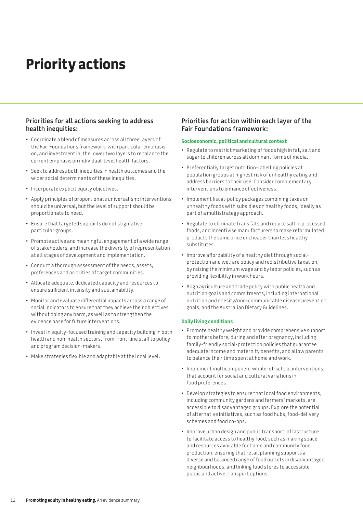# **Priority actions**

## **Priorities for all actions seeking to address health inequities:**

- • Coordinate a blend of measures across all three layers of the Fair Foundations framework, with particular emphasis on, and investment in, the lower two layers to rebalance the current emphasis on individual-level health factors.
- Seek to address both inequities in health outcomes and the wider social determinants of these inequities.
- Incorporate explicit equity objectives.
- • Apply principles of proportionate universalism: interventions should be universal, but the level of support should be proportionate to need.
- • Ensure that targeted supports do not stigmatise particular groups.
- • Promote active and meaningful engagement of a wide range of stakeholders, and increase the diversity of representation at all stages of development and implementation.
- • Conduct a thorough assessment of the needs, assets, preferences and priorities of target communities.
- • Allocate adequate, dedicated capacity and resources to ensure sufficient intensity and sustainability.
- • Monitor and evaluate differential impacts across a range of social indicators to ensure that they achieve their objectives without doing any harm, as well as to strengthen the evidence base for future interventions.
- Invest in equity-focused training and capacity building in both health and non-health sectors, from front-line staff to policy and program decision-makers.
- • Make strategies flexible and adaptable at the local level.

## **Priorities for action within each layer of the Fair Foundations framework:**

#### **Socioeconomic, political and cultural context**

- Regulate to restrict marketing of foods high in fat, salt and sugar to children across all dominant forms of media.
- • Preferentially target nutrition-labelling policies at population groups at highest risk of unhealthy eating and address barriers to their use. Consider complementary interventions to enhance effectiveness.
- Implement fiscal-policy packages combining taxes on unhealthy foods with subsidies on healthy foods, ideally as part of a multistrategy approach.
- • Regulate to eliminate trans fats and reduce salt in processed foods, and incentivise manufacturers to make reformulated products the same price or cheaper than less healthy substitutes.
- Improve affordability of a healthy diet through socialprotection and welfare policy and redistributive taxation, by raising the minimum wage and by labor policies, such as providing flexibility in work hours.
- • Align agriculture and trade policy with public health and nutrition goals and commitments, including international nutrition and obesity/non-communicable disease prevention goals, and the Australian Dietary Guidelines.

#### **Daily living conditions**

- • Promote healthy weight and provide comprehensive support to mothers before, during and after pregnancy, including family-friendly social-protection policies that guarantee adequate income and maternity benefits, and allow parents to balance their time spent at home and work.
- Implement multicomponent whole-of-school interventions that account for social and cultural variations in food preferences.
- • Develop strategies to ensure that local food environments, including community gardens and farmers' markets, are accessible to disadvantaged groups. Explore the potential of alternative initiatives, such as food hubs, food-delivery schemes and food co-ops.
- Improve urban design and public transport infrastructure to facilitate access to healthy food, such as making space and resources available for home and community food production, ensuring that retail planning supports a diverse and balanced range of food outlets in disadvantaged neighbourhoods, and linking food stores to accessible public and active transport options.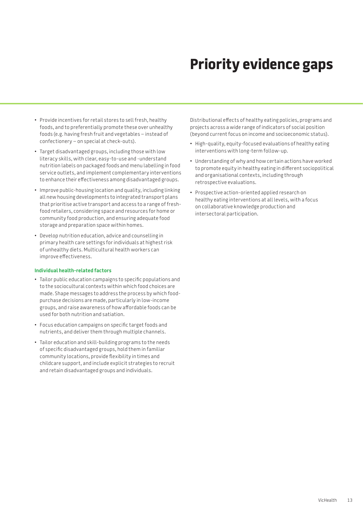# **Priority evidence gaps**

- • Provide incentives for retail stores to sell fresh, healthy foods, and to preferentially promote these over unhealthy foods (e.g. having fresh fruit and vegetables – instead of confectionery – on special at check-outs).
- • Target disadvantaged groups, including those with low literacy skills, with clear, easy-to-use and -understand nutrition labels on packaged foods and menu labelling in food service outlets, and implement complementary interventions to enhance their effectiveness among disadvantaged groups.
- Improve public-housing location and quality, including linking all new housing developments to integrated transport plans that prioritise active transport and access to a range of freshfood retailers, considering space and resources for home or community food production, and ensuring adequate food storage and preparation space within homes.
- • Develop nutrition education, advice and counselling in primary health care settings for individuals at highest risk of unhealthy diets. Multicultural health workers can improve effectiveness.

#### **Individual health-related factors**

- • Tailor public education campaigns to specific populations and to the sociocultural contexts within which food choices are made. Shape messages to address the process by which foodpurchase decisions are made, particularly in low-income groups, and raise awareness of how affordable foods can be used for both nutrition and satiation.
- • Focus education campaigns on specific target foods and nutrients, and deliver them through multiple channels.
- • Tailor education and skill-building programs to the needs of specific disadvantaged groups, hold them in familiar community locations, provide flexibility in times and childcare support, and include explicit strategies to recruit and retain disadvantaged groups and individuals.

Distributional effects of healthy eating policies, programs and projects across a wide range of indicators of social position (beyond current focus on income and socioeconomic status).

- High-quality, equity-focused evaluations of healthy eating interventions with long-term follow-up.
- • Understanding of why and how certain actions have worked to promote equity in healthy eating in different sociopolitical and organisational contexts, including through retrospective evaluations.
- Prospective action-oriented applied research on healthy eating interventions at all levels, with a focus on collaborative knowledge production and intersectoral participation.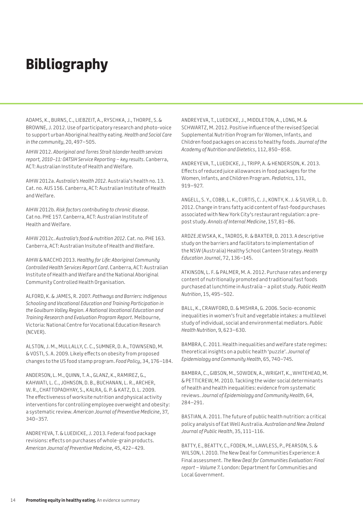# **Bibliography**

ADAMS, K., BURNS, C., LIEBZEIT, A., RYSCHKA, J., THORPE, S. & BROWNE, J. 2012. Use of participatory research and photo-voice to support urban Aboriginal healthy eating. *Health and Social Care in the community*, 20, 497–505.

AIHW 2012. *Aboriginal and Torres Strait Islander health services report, 2010–11: OATSIH Service Reporting – key results*. Canberra, ACT: Australian Institute of Health and Welfare.

AIHW 2012a. *Australia's Health 2012*. Australia's health no. 13. Cat. no. AUS 156*.* Canberra, ACT: Australian Institute of Health and Welfare.

AIHW 2012b. *Risk factors contributing to chronic disease*. Cat no. PHE 157. Canberra, ACT: Australian Institute of Health and Welfare.

AIHW 2012c. *Australia's food & nutrition 2012*. Cat. no. PHE 163. Canberra, ACT: Australian Insitute of Health and Welfare.

AIHW & NACCHO 2013. *Healthy for Life: Aboriginal Community Controlled Health Services Report Card*. Canberra, ACT: Australian Institute of Health and Welfare and the National Aboriginal Community Controlled Health Organisation.

ALFORD, K. & JAMES, R. 2007. *Pathways and Barriers: Indigenous Schooling and Vocational Education and Training Participation in the Goulburn Valley Region. A National Vocational Education and Training Research and Evaluation Program Report*. Melbourne, Victoria: National Centre for Vocational Education Research (NCVER).

ALSTON, J. M., MULLALLY, C. C., SUMNER, D. A., TOWNSEND, M. & VOSTI, S. A. 2009. Likely effects on obesity from proposed changes to the US food stamp program. *Food Policy*, 34, 176–184.

ANDERSON, L. M., QUINN, T. A., GLANZ, K., RAMIREZ, G., KAHWATI, L. C., JOHNSON, D. B., BUCHANAN, L. R., ARCHER, W. R., CHATTOPADHYAY, S., KALRA, G. P. & KATZ, D. L. 2009. The effectiveness of worksite nutrition and physical activity interventions for controlling employee overweight and obesity: a systematic review. *American Journal of Preventive Medicine*, 37, 340–357.

ANDREYEVA, T. & LUEDICKE, J. 2013. Federal food package revisions: effects on purchases of whole-grain products. *American Journal of Preventive Medicine*, 45, 422–429.

ANDREYEVA, T., LUEDICKE, J., MIDDLETON, A., LONG, M. & SCHWARTZ, M. 2012. Positive influence of the revised Special Supplemental Nutrition Program for Women, Infants, and Children food packages on access to healthy foods. *Journal of the Academy of Nutrition and Dietetics*, 112, 850–858.

ANDREYEVA, T., LUEDICKE, J., TRIPP, A. & HENDERSON, K. 2013. Effects of reduced juice allowances in food packages for the Women, Infants, and Children Program. *Pediatrics*, 131, 919–927.

ANGELL, S. Y., COBB, L. K., CURTIS, C. J., KONTY, K. J. & SILVER, L. D. 2012. Change in trans fatty acid content of fast-food purchases associated with New York City's restaurant regulation: a prepost study. *Annals of Internal Medicine*, 157, 81–86.

ARDZEJEWSKA, K., TADROS, R. & BAXTER, D. 2013. A descriptive study on the barriers and facilitators to implementation of the NSW (Australia) Healthy School Canteen Strategy. *Health Education Journal*, 72, 136–145.

ATKINSON, L. F. & PALMER, M. A. 2012. Purchase rates and energy content of nutritionally promoted and traditional fast foods purchased at lunchtime in Australia – a pilot study. *Public Health Nutrition*, 15, 495–502.

BALL, K., CRAWFORD, D. & MISHRA, G. 2006. Socio-economic inequalities in women's fruit and vegetable intakes: a multilevel study of individual, social and environmental mediators. *Public Health Nutrition*, 9, 623–630.

BAMBRA, C. 2011. Health inequalities and welfare state regimes: theoretical insights on a public health 'puzzle'. *Journal of Epidemiology and Community Health*, 65, 740–745.

BAMBRA, C., GIBSON, M., SOWDEN, A., WRIGHT, K., WHITEHEAD, M. & PETTICREW, M. 2010. Tackling the wider social determinants of health and health inequalities: evidence from systematic reviews. *Journal of Epidemiology and Community Health*, 64, 284–291.

BASTIAN, A. 2011. The future of public health nutrition: a critical policy analysis of Eat Well Australia. *Australian and New Zealand Journal of Public Health*, 35, 111–116.

BATTY, E., BEATTY, C., FODEN, M., LAWLESS, P., PEARSON, S. & WILSON, I. 2010. The New Deal for Communities Experience: A Final assessment. *The New Deal for Communities Evaluation: Final report – Volume 7.* London: Department for Communities and Local Government.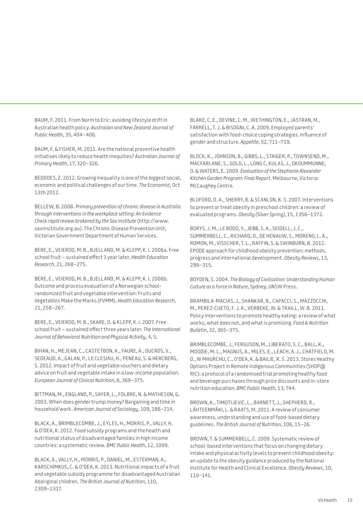BAUM, F. 2011. From Norm to Eric: avoiding lifestyle drift in Australian health policy. *Australian and New Zealand Journal of Public Health*, 35, 404–406.

BAUM, F. & FISHER, M. 2011. Are the national preventive health initiatives likely to reduce health inequities? *Australian Journal of Primary Health*, 17, 320–326.

BEDDOES, Z. 2012. Growing inequality is one of the biggest social, economic and political challenges of our time. *The Economist,* Oct 13th 2012.

BELLEW, B. 2008. *Primary prevention of chronic disease in Australia through interventions in the workplace setting: An Evidence Check rapid review brokered by the Sax Institute* ([http://www.](http://www.saxinsititute.org.au) [saxinsititute.org.au\). Th](http://www.saxinsititute.org.au)e Chronic Disease Prevention Unit, Victorian Government Department of Human Services.

BERE, E., VEIEROD, M. B., BJELLAND, M. & KLEPP, K. I. 2006a. Free school fruit – sustained effect 1 year later. *Health Education Research*, 21, 268–275.

BERE, E., VEIEROD, M. B., BJELLAND, M. & KLEPP, K. I. 2006b. Outcome and process evaluation of a Norwegian schoolrandomized fruit and vegetable intervention: Fruits and Vegetables Make the Marks (FVMM). *Health Education Research*, 21, 258–267.

BERE, E., VEIEROD, M. B., SKARE, O. & KLEPP, K. I. 2007. Free school fruit – sustained effect three years later. *The International Journal of Behavioral Nutrition and Physical Activity*, 4, 5.

BIHAN, H., MEJEAN, C., CASTETBON, K., FAURE, A., DUCROS, V., SEDEAUD, A., GALAN, P., LE CLESIAU, H., PENEAU, S. & HERCBERG, S. 2012. Impact of fruit and vegetable vouchers and dietary advice on fruit and vegetable intake in a low-income population. *European Journal of Clinical Nutrition*, 6, 369–375.

BITTMAN, M., ENGLAND, P., SAYER, L., FOLBRE, N. & MATHESON, G. 2003. When does gender trump money? Bargaining and time in household work. *American Journal of Sociology*, 109, 186–214.

BLACK, A., BRIMBLECOMBE, J., EYLES, H., MORRIS, P., VALLY, H. & O'DEA, K. 2012. Food subsidy programs and the health and nutritional status of disadvantaged families in high income countries: a systematic review. *BMC Public Health*, 12, 1099.

BLACK, A., VALLY, H., MORRIS, P., DANIEL, M., ESTERMAN, A., KARSCHIMKUS, C. & O'DEA, K. 2013. Nutritional impacts of a fruit and vegetable subsidy programme for disadvantaged Australian Aboriginal children. *The British Journal of Nutrition,* 110, 2309–2317.

BLAKE, C. E., DEVINE, C. M., WETHINGTON, E., JASTRAN, M., FARRELL, T. J. & BISOGNI, C. A. 2009. Employed parents' satisfaction with food-choice coping strategies. Influence of gender and structure. *Appetite*, 52, 711–719.

BLOCK, K., JOHNSON, B., GIBBS, L., STAIGER, P., TOWNSEND, M., MACFARLANE, S., GOLD, L., LONG C, KULAS, J., OKOUMMUNNE, O. & WATERS, E. 2009. *Evaluation of the Stephanie Alexander Kitchen Garden Program: Final Report*. Melbourne, Victoria: McCaughey Centre.

BLUFORD, D. A., SHERRY, B. & SCANLON, K. S. 2007. Interventions to prevent or treat obesity in preschool children: a review of evaluated programs. *Obesity (Silver Spring)*, 15, 1356–1372.

BORYS, J. M., LE BODO, Y., JEBB, S. A., SEIDELL, J. C., SUMMERBELL, C., RICHARD, D., DE HENAUW, S., MORENO, L. A., ROMON, M., VISSCHER, T. L., RAFFIN, S. & SWINBURN, B. 2012. EPODE approach for childhood obesity prevention: methods, progress and international development. *Obesity Reviews*, 13, 299–315.

BOYDEN, S. 2004. *The Biology of Civilisation: Understanding Human Culture as a Force in Nature*, Sydney, UNSW Press.

BRAMBILA-MACIAS, J., SHANKAR, B., CAPACCI, S., MAZZOCCHI, M., PEREZ-CUETO, F. J. A., VERBEKE, W. & TRAILL, W. B. 2011. Policy interventions to promote healthy eating: a review of what works, what does not, and what is promising. *Food & Nutrition Bulletin*, 32, 365–375.

BRIMBLECOMBE, J., FERGUSON, M., LIBERATO, S. C., BALL, K., MOODIE, M. L., MAGNUS, A., MILES, E., LEACH, A. J., CHATFIELD, M. D., NI MHURCHU, C., O'DEA, K. & BAILIE, R. S. 2013. Stores Healthy Options Project in Remote Indigenous Communities (SHOP@ RIC): a protocol of a randomised trial promoting healthy food and beverage purchases through price discounts and in-store nutrition education. *BMC Public Health,* 13, 744.

BROWN, K., TIMOTIJEVIC, L., BARNETT, J., SHEPHERD, R., LÄHTEENMÄKI, L. & RAATS, M. 2011. A review of consumer awareness, understanding and use of food-based dietary guidelines. *The British Journal of Nutrition*, 106, 15–26.

BROWN, T. & SUMMERBELL, C. 2009. Systematic review of school-based interventions that focus on changing dietary intake and physical activity levels to prevent childhood obesity: an update to the obesity guidance produced by the National Institute for Health and Clinical Excellence. *Obesity Reviews*, 10, 110–141.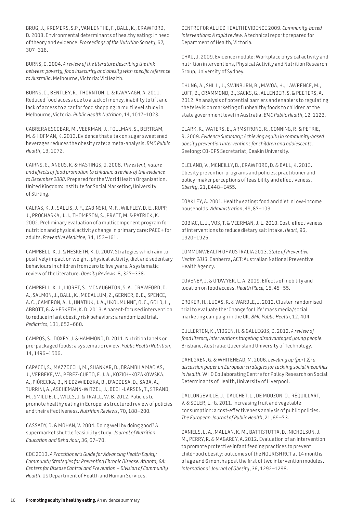BRUG, J., KREMERS, S.P., VAN LENTHE, F., BALL, K., CRAWFORD, D. 2008. Environmental determinants of healthy eating: in need of theory and evidence. *Proceedings of the Nutrition Society*, 67, 307–316.

BURNS, C. 2004. *A review of the literature describing the link between poverty, food insecurity and obesity with specific reference to Australia*. Melbourne, Victoria: VicHealth.

BURNS, C., BENTLEY, R., THORNTON, L. & KAVANAGH, A. 2011. Reduced food access due to a lack of money, inability to lift and lack of access to a car for food shopping: a multilevel study in Melbourne, Victoria. *Public Health Nutrition*, 14, 1017–1023.

CABRERA ESCOBAR, M., VEERMAN, J., TOLLMAN, S., BERTRAM, M. & HOFMAN, K. 2013. Evidence that a tax on sugar sweetened beverages reduces the obesity rate: a meta-analysis. *BMC Public Health*, 13, 1072.

CAIRNS, G., ANGUS, K. & HASTINGS, G. 2008. *The extent, nature and effects of food promotion to children: a review of the evidence to December 2008*. Prepared for the World Health Organization. United Kingdom: Institute for Social Marketing, University of Stirling.

CALFAS, K. J., SALLIS, J. F., ZABINSKI, M. F., WILFLEY, D. E., RUPP, J., PROCHASKA, J. J., THOMPSON, S., PRATT, M. & PATRICK, K. 2002. Preliminary evaluation of a multicomponent program for nutrition and physical activity change in primary care: PACE+ for adults. *Preventive Medicine*, 34, 153–161.

CAMPBELL, K. J. & HESKETH, K. D. 2007. Strategies which aim to positively impact on weight, physical activity, diet and sedentary behaviours in children from zero to five years. A systematic review of the literature. *Obesity Reviews*, 8, 327–338.

CAMPBELL, K. J., LIORET, S., MCNAUGHTON, S. A., CRAWFORD, D. A., SALMON, J., BALL, K., MCCALLUM, Z., GERNER, B. E., SPENCE, A. C., CAMERON, A. J., HNATIUK, J. A., UKOUMUNNE, O. C., GOLD, L., ABBOTT, G. & HESKETH, K. D. 2013. A parent-focused intervention to reduce infant obesity risk behaviors: a randomized trial. *Pediatrics*, 131, 652–660.

CAMPOS, S., DOXEY, J. & HAMMOND, D. 2011. Nutrition labels on pre-packaged foods: a systematic review. *Public Health Nutrition*, 14, 1496–1506.

CAPACCI, S., MAZZOCCHI, M., SHANKAR, B., BRAMBILA MACIAS, J., VERBEKE, W., PÉREZ-CUETO, F. J. A., KOZIOŁ-KOZAKOWSKA, A., PIÓRECKA, B., NIEDZWIEDZKA, B., D'ADDESA, D., SABA, A., TURRINI, A., ASCHEMANN-WITZEL, J., BECH-LARSEN, T., STRAND, M., SMILLIE, L., WILLS, J. & TRAILL, W. B. 2012. Policies to promote healthy eating in Europe: a structured review of policies and their effectiveness. *Nutrition Reviews*, 70, 188–200.

CASSADY, D. & MOHAN, V. 2004. Doing well by doing good? A supermarket shuttle feasibility study. *Journal of Nutrition Education and Behaviour*, 36, 67–70.

CDC 2013. *A Practitioner's Guide for Advancing Health Equity: Community Strategies for Preventing Chronic Disease. Atlanta, GA: Centers for Disease Control and Prevention – Division of Community Health*. US Department of Health and Human Services.

CENTRE FOR ALLIED HEALTH EVIDENCE 2009. *Community-based Interventions: A rapid review*. A technical report prepared for Department of Health, Victoria.

CHAU, J. 2009. Evidence module: Workplace physical activity and nutrition interventions, Physical Activity and Nutrition Research Group, University of Sydney.

CHUNG, A., SHILL, J., SWINBURN, B., MAVOA, H., LAWRENCE, M., LOFF, B., CRAMMOND, B., SACKS, G., ALLENDER, S. & PEETERS, A. 2012. An analysis of potential barriers and enablers to regulating the television marketing of unhealthy foods to children at the state government level in Australia. *BMC Public Health*, 12, 1123.

CLARK, R., WATERS, E., ARMSTRONG, R., CONNING, R. & PETRIE, R. 2009. *Evidence Summary: Achieving equity in community-based obesity prevention interventions for children and adolescents*. Geelong: CO-OPS Secretariat, Deakin University.

CLELAND, V., MCNEILLY, B., CRAWFORD, D. & BALL, K. 2013. Obesity prevention programs and policies: practitioner and policy-maker perceptions of feasibility and effectiveness. *Obesity*, 21, E448–E455.

COAKLEY, A. 2001. Healthy eating: food and diet in low-income households. *Administration*, 49, 87–103.

COBIAC, L. J., VOS, T. & VEERMAN, J. L. 2010. Cost-effectiveness of interventions to reduce dietary salt intake. *Heart*, 96, 1920–1925.

COMMONWEALTH OF AUSTRALIA 2013. *State of Preventive Health 2013*. Canberra, ACT: Australian National Preventive Health Agency.

COVENEY, J. & O'DWYER, L. A. 2009. Effects of mobility and location on food access. *Health Place,* 15, 45–55.

CROKER, H., LUCAS, R. & WARDLE, J. 2012. Cluster-randomised trial to evaluate the 'Change for Life' mass media/social marketing campaign in the UK. *BMC Public Health,* 12, 404.

CULLERTON, K., VIDGEN, H. & GALLEGOS, D. 2012. *A review of food literacy interventions targeting disadvantaged young people*. Brisbane, Australia: Queensland University of Technology.

DAHLGREN, G. & WHITEHEAD, M. 2006. *Levelling up (part 2): a discussion paper on European strategies for tackling social inequities in health*. WHO Collaborating Centre for Policy Research on Social Determinants of Health, University of Liverpool.

DALLONGEVILLE, J., DAUCHET, L., DE MOUZON, O., RÉQUILLART, V. & SOLER, L.-G. 2011. Increasing fruit and vegetable consumption: a cost-effectiveness analysis of public policies. *The European Journal of Public Health*, 21, 69–73.

DANIELS, L. A., MALLAN, K. M., BATTISTUTTA, D., NICHOLSON, J. M., PERRY, R. & MAGAREY, A. 2012. Evaluation of an intervention to promote protective infant feeding practices to prevent childhood obesity: outcomes of the NOURISH RCT at 14 months of age and 6 months post the first of two intervention modules. *International Journal of Obesity*, 36, 1292–1298.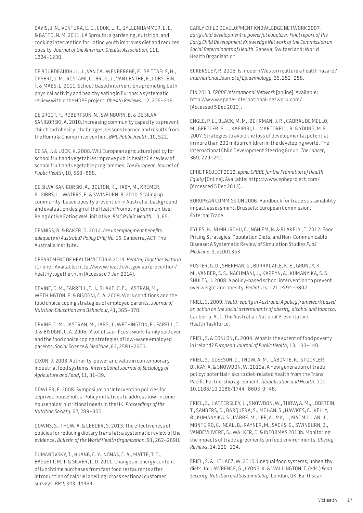DAVIS, J. N., VENTURA, E. E., COOK, L. T., GYLLENHAMMER, L. E. & GATTO, N. M. 2011. LA Sprouts: a gardening, nutrition, and cooking intervention for Latino youth improves diet and reduces obesity. *Journal of the American Dietetic Association*, 111, 1224–1230.

DE BOURDEAUDHUIJ, I., VAN CAUWENBERGHE, E., SPITTAELS, H., OPPERT, J. M., ROSTAMI, C., BRUG, J., VAN LENTHE, F., LOBSTEIN, T. & MAES, L. 2011. School-based interventions promoting both physical activity and healthy eating in Europe: a systematic review within the HOPE project. *Obesity Reviews*, 12, 205–216.

DE GROOT, F., ROBERTSON, N., SWINBURN, B. & DE SILVA-SANIGORSKI, A. 2010. Increasing community capacity to prevent childhood obesity: challenges, lessons learned and results from the Romp & Chomp intervention. *BMC Public Health*, 10, 522.

DE SA, J. & LOCK, K. 2008. Will European agricultural policy for school fruit and vegetables improve public health? A review of school fruit and vegetable programmes. *The European Journal of Public Health*, 18, 558–568.

DE SILVA-SANIGORSKI, A., BOLTON, K., HABY, M., KREMER, P., GIBBS, L., WATERS, E. & SWINBURN, B. 2010. Scaling up community-based obesity prevention in Australia: background and evaluation design of the Health Promoting Communities: Being Active Eating Well initiative. *BMC Public Health*, 10, 65.

DENNISS, R. & BAKER, D. 2012. *Are unemployment benefits adequate in Australia? Policy Brief No. 39*. Canberra, ACT: The Australia Institute.

DEPARTMENT OF HEALTH VICTORIA 2014. *Healthy Together Victoria*  [Online]. Available:<http://www.health.vic.gov.au/prevention/> healthytogether.htm [Accessed 7 Jan 2014].

DEVINE, C. M., FARRELL, T. J., BLAKE, C. E., JASTRAN, M., WETHINGTON, E. & BISOGNI, C. A. 2009. Work conditions and the food choice coping strategies of employed parents. *Journal of Nutrition Education and Behaviour*, 41, 365–370.

DEVINE, C. M., JASTRAN, M., JABS, J., WETHINGTON, E., FARELL, T. J. & BISOGNI, C. A. 2006. 'A lot of sacrifices': work-family spillover and the food choice coping strategies of low-wage employed parents. *Social Science & Medicine*, 63, 2591–2603.

DIXON, J. 2003. Authority, power and value in contemporary industrial food systems. *International Journal of Sociology of Agriculture and Food*, 11, 31–39.

DOWLER, E. 2008. Symposium on 'Intervention policies for deprived households' Policy initiatives to address low-income households' nutritional needs in the UK. *Proceedings of the Nutrition Society*, 67, 289–300.

DOWNS, S., THOW, A. & LEEDER, S. 2013. The effectiveness of policies for reducing dietary trans fat: a systematic review of the evidence. *Bulletin of the World Health Organization*, 91, 262–269H.

DUMANOVSKY, T., HUANG, C. Y., NONAS, C. A., MATTE, T. D., BASSETT, M. T. & SILVER, L. D. 2011. Changes in energy content of lunchtime purchases from fast food restaurants after introduction of calorie labelling: cross sectional customer surveys. *BMJ*, 343, d4464.

EARLY CHILD DEVELOPMENT KNOWLEDGE NETWORK 2007. *Early child development: a powerful equalizer. Final report of the Early Child Development Knowledge Network of the Commission on Social Determinants of Health*. Geneva, Switzerland: World Health Organization.

ECKERSLEY, R. 2006. Is modern Western culture a health hazard? *International Journal of Epidemiology*, 35, 252–258.

EIN 2013. *EPODE International Network* [online]. Available: <http://www.epode-international-network.com/> [Accessed 5 Dec 2013].

ENGLE, P. L., BLACK, M. M., BEHRMAN, J. R., CABRAL DE MELLO, M., GERTLER, P. J., KAPIRIRI, L., MARTORELL, R. & YOUNG, M. E. 2007. Strategies to avoid the loss of developmental potential in more than 200 million children in the developing world. The International Child Development Steering Group. *The Lancet*, 369, 229–242.

EPHE PROJECT 2012. *ephe: EPODE for the Promotion of Health Equity* [Online]. Available: <http://www.epheproject.com/> [Accessed 5 Dec 2013].

EUROPEAN COMMISSION 2006. Handbook for trade sustainability impact assessment. Brussels: European Commission, External Trade.

EYLES, H., NI MHURCHU, C., NGHIEM, N. & BLAKELY , T. 2012. Food Pricing Strategies, Population Diets, and Non-Communicable Disease: A Systematic Review of Simulation Studies *PLoS Medicine*, 9, e1001353.

FOSTER, G. D., SHERMAN, S., BORRADAILE, K. E., GRUNDY, K. M., VANDER, S. S., NACHMANI, J., KARPYN, A., KUMANYIKA, S. & SHULTS, J. 2008. A policy-based school intervention to prevent overweight and obesity. *Pediatrics*, 121, e794–e802.

FRIEL, S. 2009. *Health equity in Australia: A policy framework based on action on the social determinants of obesity, alcohol and tobacco*. Canberra, ACT: The Australian National Preventative Health Taskforce.

FRIEL, S. & CONLON, C. 2004. What is the extent of food poverty in Ireland? *European Journal of Public Health*, 13, 133–140.

FRIEL, S., GLEESON, D., THOW, A. M., LABONTE, R., STUCKLER, D., KAY, A. & SNOWDON, W. 2013a. A new generation of trade policy: potential risks to diet-related health from the Trans Pacific Partnership agreement. *Globalization and Health*, DOI: 10.1186/10.1186/1744–8603-9–46.

FRIEL, S., HATTERSLEY, L., SNOWDON, W., THOW, A. M., LOBSTEIN, T., SANDERS, D., BARQUERA, S., MOHAN, S., HAWKES, C., KELLY, B., KUMANYIKA, S., L'ABBE, M., LEE, A., MA, J., MACMULLAN, J., MONTEIRO, C., NEAL, B., RAYNER, M., SACKS, G., SWINBURN, B., VANDEVIJVERE, S., WALKER, C. & INFORMAS 2013b. Monitoring the impacts of trade agreements on food environments. *Obesity Reviews*, 14, 120–134.

FRIEL, S. & LICHACZ, W. 2010. Unequal food systems, unhealthy diets. In: LAWRENCE, G., LYONS, K. & WALLINGTON, T. (eds.) *Food Security, Nutrition and Sustainability.* London, UK: Earthscan.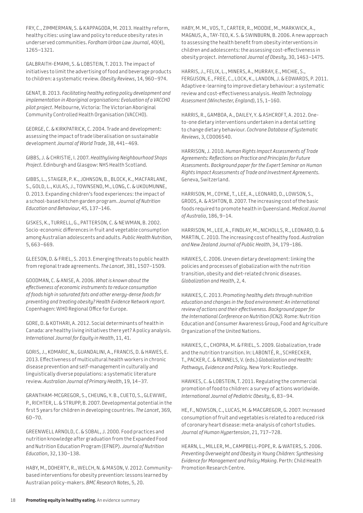FRY, C., ZIMMERMAN, S. & KAPPAGODA, M. 2013. Healthy reform, healthy cities: using law and policy to reduce obesity rates in underserved communities. *Fordham Urban Law Journal*, 40(4), 1265–1321.

GALBRAITH-EMAMI, S. & LOBSTEIN, T. 2013. The impact of initiatives to limit the advertising of food and beverage products to children: a systematic review. *Obesity Reviews*, 14, 960–974.

GENAT, B. 2013. *Facilitating healthy eating policy development and implementation in Aboriginal organisations: Evaluation of a VACCHO pilot project*. Melbourne, Victoria: The Victorian Aboriginal Community Controlled Health Organisation (VACCHO).

GEORGE, C. & KIRKPATRICK, C. 2004. Trade and development: assessing the impact of trade liberalisation on sustainable development *Journal of World Trade*, 38, 441–469.

GIBBS, J. & CHRISTIE, I. 2007. *Healthyliving Neighbourhood Shops Project*. Edinburgh and Glasgow: NHS Health Scotland.

GIBBS, L., STAIGER, P. K., JOHNSON, B., BLOCK, K., MACFARLANE, S., GOLD, L., KULAS, J., TOWNSEND, M., LONG, C. & UKOUMUNNE, O. 2013. Expanding children's food experiences: the impact of a school-based kitchen garden program. *Journal of Nutrition Education and Behaviour*, 45, 137–146.

GISKES, K., TURRELL, G., PATTERSON, C. & NEWMAN, B. 2002. Socio-economic differences in fruit and vegetable consumption among Australian adolescents and adults. *Public Health Nutrition*, 5, 663–669.

GLEESON, D. & FRIEL, S. 2013. Emerging threats to public health from regional trade agreements. *The Lancet*, 381, 1507–1509.

GOODMAN, C. & ANISE, A. 2006. *What is known about the effectiveness of economic instruments to reduce consumption of foods high in saturated fats and other energy-dense foods for preventing and treating obesity? Health Evidence Network report.* Copenhagen: WHO Regional Office for Europe.

GORE, D. & KOTHARI, A. 2012. Social determinants of health in Canada: are healthy living initiatives there yet? A policy analysis. *International Journal for Equity in Health*, 11, 41.

GORIS, J., KOMARIC, N., GUANDALINI, A., FRANCIS, D. & HAWES, E. 2013. Effectiveness of multicultural health workers in chronic disease prevention and self-management in culturally and linguistically diverse populations: a systematic literature review. *Australian Journal of Primary Health*, 19, 14–37.

GRANTHAM-MCGREGOR, S., CHEUNG, Y. B., CUETO, S., GLEWWE, P., RICHTER, L. & STRUPP, B. 2007. Developmental potential in the first 5 years for children in developing countries. *The Lancet*, 369, 60–70.

GREENWELL ARNOLD, C. & SOBAL, J. 2000. Food practices and nutrition knowledge after graduation from the Expanded Food and Nutrition Education Program (EFNEP). *Journal of Nutrition Education*, 32, 130–138.

HABY, M., DOHERTY, R., WELCH, N. & MASON, V. 2012. Communitybased interventions for obesity prevention: lessons learned by Australian policy-makers. *BMC Research Notes*, 5, 20.

HABY, M. M., VOS, T., CARTER, R., MOODIE, M., MARKWICK, A., MAGNUS, A., TAY-TEO, K. S. & SWINBURN, B. 2006. A new approach to assessing the health benefit from obesity interventions in children and adolescents: the assessing cost-effectiveness in obesity project. *International Journal of Obesity*, 30, 1463–1475.

HARRIS, J., FELIX, L., MINERS, A., MURRAY, E., MICHIE, S., FERGUSON, E., FREE, C., LOCK, K., LANDON, J. & EDWARDS, P. 2011. Adaptive e-learning to improve dietary behaviour: a systematic review and cost-effectiveness analysis. *Health Technology Assessment (Winchester, England)*, 15, 1–160.

HARRIS, R., GAMBOA, A., DAILEY, Y. & ASHCROFT, A. 2012. Oneto-one dietary interventions undertaken in a dental setting to change dietary behaviour. *Cochrane Database of Systematic Reviews*, 3, CD006540.

HARRISON, J. 2010. *Human Rights Impact Assessments of Trade Agreements: Reflections on Practice and Principles for Future Assessments. Background paper for the Expert Seminar on Human Rights Impact Assessments of Trade and Investment Agreements.* Geneva, Switzerland.

HARRISON, M., COYNE, T., LEE, A., LEONARD, D., LOWSON, S., GROOS, A. & ASHTON, B. 2007. The increasing cost of the basic foods required to promote health in Queensland. *Medical Journal of Australia*, 186, 9–14.

HARRISON, M., LEE, A., FINDLAY, M., NICHOLLS, R., LEONARD, D. & MARTIN, C. 2010. The increasing cost of healthy food. *Australian and New Zealand Journal of Public Health*, 34, 179–186.

HAWKES, C. 2006. Uneven dietary development: linking the policies and processes of globalization with the nutrition transition, obesity and diet-related chronic diseases. *Globalization and Health*, 2, 4.

HAWKES, C. 2013. *Promoting healthy diets through nutrition education and changes in the food environment: An international review of actions and their effectiveness. Background paper for the International Conference on Nutrition (ICN2).* Rome: Nutrition Education and Consumer Awareness Group, Food and Agriculture Organization of the United Nations.

HAWKES, C., CHOPRA, M. & FRIEL, S. 2009. Globalization, trade and the nutrition transition. In: LABONTÉ, R., SCHRECKER, T., PACKER, C. & RUNNELS, V. (eds.) *Globalization and Health: Pathways, Evidence and Policy.* New York: Routledge.

HAWKES, C. & LOBSTEIN, T. 2011. Regulating the commercial promotion of food to children: a survey of actions worldwide. *International Journal of Pediatric Obesity*, 6, 83–94.

HE, F., NOWSON, C., LUCAS, M. & MACGREGOR, G. 2007. Increased consumption of fruit and vegetables is related to a reduced risk of coronary heart disease: meta-analysis of cohort studies. *Journal of Human Hypertension*, 21, 717–728.

HEARN, L., MILLER, M., CAMPBELL-POPE, R. & WATERS, S. 2006. *Preventing Overweight and Obesity in Young Children: Synthesising Evidence for Management and Policy Making*. Perth: Child Health Promotion Research Centre.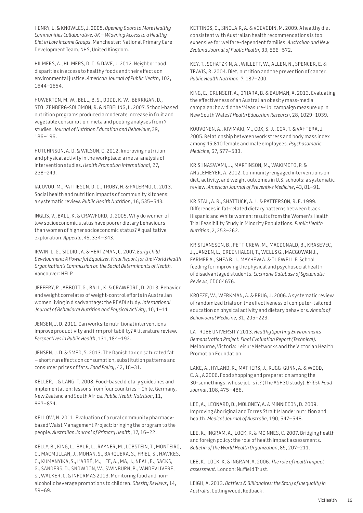HENRY, L. & KNOWLES, J. 2005. *Opening Doors to More Healthy Communities Collaborative, UK – Widening Access to a Healthy Diet in Low Income Groups*. Manchester: National Primary Care Development Team, NHS, United Kingdom.

HILMERS, A., HILMERS, D. C. & DAVE, J. 2012. Neighborhood disparities in access to healthy foods and their effects on environmental justice. *American Journal of Public Health*, 102, 1644–1654.

HOWERTON, M. W., BELL, B. S., DODD, K. W., BERRIGAN, D., STOLZENBERG-SOLOMON, R. & NEBELING, L. 2007. School-based nutrition programs produced a moderate increase in fruit and vegetable consumption: meta and pooling analyses from 7 studies. *Journal of Nutrition Education and Behaviour*, 39, 186–196.

HUTCHINSON, A. D. & WILSON, C. 2012. Improving nutrition and physical activity in the workplace: a meta-analysis of intervention studies. *Health Promotion International*, 27, 238–249.

IACOVOU, M., PATTIESON, D. C., TRUBY, H. & PALERMO, C. 2013. Social health and nutrition impacts of community kitchens: a systematic review. *Public Health Nutrition*, 16, 535–543.

INGLIS, V., BALL, K. & CRAWFORD, D. 2005. Why do women of low socioeconomic status have poorer dietary behaviours than women of higher socioeconomic status? A qualitative exploration. *Appetite*, 45, 334–343.

IRWIN, L. G., SIDDIQI, A. & HERTZMAN, C. 2007. *Early Child Development: A Powerful Equalizer. Final Report for the World Health Organization's Commission on the Social Determinants of Health.* Vancouver: HELP.

JEFFERY, R., ABBOTT, G., BALL, K. & CRAWFORD, D. 2013. Behavior and weight correlates of weight-control efforts in Australian women living in disadvantage: the READI study. *International Journal of Behavioral Nutrition and Physical Activity*, 10, 1–14.

JENSEN, J. D. 2011. Can worksite nutritional interventions improve productivity and firm profitability? A literature review. *Perspectives in Public Health*, 131, 184–192.

JENSEN, J. D. & SMED, S. 2013. The Danish tax on saturated fat – short run effects on consumption, substitution patterns and consumer prices of fats. *Food Policy*, 42, 18–31.

KELLER, I. & LANG, T. 2008. Food-based dietary guidelines and implementation: lessons from four countries – Chile, Germany, New Zealand and South Africa. *Public Health Nutrition*, 11, 867–874.

KELLOW, N. 2011. Evaluation of a rural community pharmacybased Waist Management Project: bringing the program to the people. *Australian Journal of Primary Health*, 17, 16–22.

KELLY, B., KING, L., BAUR, L., RAYNER, M., LOBSTEIN, T., MONTEIRO, C., MACMULLAN, J., MOHAN, S., BARQUERA, S., FRIEL, S., HAWKES, C., KUMANYIKA, S., L'ABBÉ, M., LEE, A., MA, J., NEAL, B., SACKS, G., SANDERS, D., SNOWDON, W., SWINBURN, B., VANDEVIJVERE, S., WALKER, C. & INFORMAS 2013. Monitoring food and nonalcoholic beverage promotions to children. *Obesity Reviews*, 14, 59–69.

KETTINGS, C., SINCLAIR, A. & VOEVODIN, M. 2009. A healthy diet consistent with Australian health recommendations is too expensive for welfare-dependent families. *Australian and New Zealand Journal of Public Health*, 33, 566–572.

KEY, T., SCHATZKIN, A., WILLETT, W., ALLEN, N., SPENCER, E. & TRAVIS, R. 2004. Diet, nutrition and the prevention of cancer. *Public Health Nutrition,* 7, 187–200.

KING, E., GRUNSEIT, A., O'HARA, B. & BAUMAN, A. 2013. Evaluating the effectiveness of an Australian obesity mass-media campaign: how did the 'Measure-Up' campaign measure up in New South Wales? *Health Education Research*, 28, 1029–1039.

KOUVONEN, A., KIVIMAKI, M., COX, S. J., COX, T. & VAHTERA, J. 2005. Relationship between work stress and body mass index among 45,810 female and male employees. *Psychosomatic Medicine*, 67, 577–583.

KRISHNASWAMI, J., MARTINSON, M., WAKIMOTO, P. & ANGLEMEYER, A. 2012. Community-engaged interventions on diet, activity, and weight outcomes in U.S. schools: a systematic review. *American Journal of Preventive Medicine*, 43, 81–91.

KRISTAL, A. R., SHATTUCK, A. L. & PATTERSON, R. E. 1999. Differences in fat-related dietary patterns between black, Hispanic and White women: results from the Women's Health Trial Feasibility Study in Minority Populations. *Public Health Nutrition*, 2, 253–262.

KRISTJANSSON, B., PETTICREW, M., MACDONALD, B., KRASEVEC, J., JANZEN, L., GREENHALGH, T., WELLS G., MACGOWAN J., FARMER A., SHEA B. J., MAYHEW A. & TUGWELL P. School feeding for improving the physical and psychosocial health of disadvantaged students. *Cochrane Database of Systematic Reviews,* CD004676.

KROEZE, W., WERKMAN, A. & BRUG, J. 2006. A systematic review of randomized trials on the effectiveness of computer-tailored education on physical activity and dietary behaviors. *Annals of Behavioural Medicine*, 31, 205–223.

LA TROBE UNIVERSITY 2013. *Healthy Sporting Environments Demonstration Project. Final Evaluation Report (Technical)*. Melbourne, Victoria: Leisure Networks and the Victorian Health Promotion Foundation.

LAKE, A., HYLAND, R., MATHERS, J., RUGG-GUNN, A. & WOOD, C. A., A 2006. Food shopping and preparation among the 30-somethings: whose job is it? (The ASH30 study). *British Food Journal*, 108, 475–486.

LEE, A., LEONARD, D., MOLONEY, A. & MINNIECON, D. 2009. Improving Aboriginal and Torres Strait Islander nutrition and health. *Medical Journal of Australia*, 190, 547–548.

LEE, K., INGRAM, A., LOCK, K. & MCINNES, C. 2007. Bridging health and foreign policy: the role of health impact assessments. *Bulletin of the World Health Organization*, 85, 207–211.

LEE, K., LOCK, K. & INGRAM, A. 2006. *The role of health impact assessment*. London: Nuffield Trust.

LEIGH, A. 2013. *Battlers & Billionaires: the Story of Inequality in Australia*, Collingwood, Redback.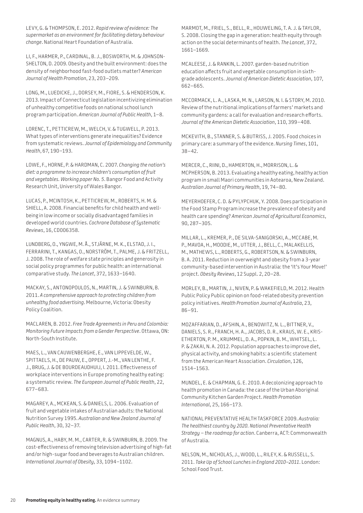LEVY, G. & THOMPSON, E. 2012. *Rapid review of evidence: The supermarket as an environment for facilitating dietary behaviour change*. National Heart Foundation of Australia.

LI, F., HARMER, P., CARDINAL, B. J., BOSWORTH, M. & JOHNSON-SHELTON, D. 2009. Obesity and the built environment: does the density of neighborhood fast-food outlets matter? *American Journal of Health Promotion*, 23, 203–209.

LONG, M., LUEDICKE, J., DORSEY, M., FIORE, S. & HENDERSON, K. 2013. Impact of Connecticut legislation incentivizing elimination of unhealthy competitive foods on national school lunch program participation. *American Journal of Public Health*, 1–8.

LORENC, T., PETTICREW, M., WELCH, V. & TUGWELL, P. 2013. What types of interventions generate inequalities? Evidence from systematic reviews. *Journal of Epidemiology and Community Health*, 67, 190–193.

LOWE, F., HORNE, P. & HARDMAN, C. 2007. *Changing the nation's diet: a programme to increase children's consumption of fruit and vegetables. Working paper No. 5*. Bangor Food and Activity Research Unit, University of Wales Bangor.

LUCAS, P., MCINTOSH, K., PETTICREW, M., ROBERTS, H. M. & SHIELL, A. 2008. Financial benefits for child health and wellbeing in low income or socially disadvantaged families in developed world countries. *Cochrane Database of Systematic Reviews*, 16, CD006358.

LUNDBERG, O., YNGWE, M. Å., STJÄRNE, M. K., ELSTAD, J. I., FERRARINI, T., KANGAS, O., NORSTRÖM, T., PALME, J. & FRITZELL, J. 2008. The role of welfare state principles and generosity in social policy programmes for public health: an international comparative study. *The Lancet*, 372, 1633–1640.

MACKAY, S., ANTONOPOULOS, N., MARTIN, J. & SWINBURN, B. 2011. *A comprehensive approach to protecting children from unhealthy food advertising*. Melbourne, Victoria: Obesity Policy Coalition.

MACLAREN, B. 2012. *Free Trade Agreements in Peru and Colombia: Monitoring Future Impacts from a Gender Perspective*. Ottawa, ON: North-South Institute.

MAES, L., VAN CAUWENBERGHE, E., VAN LIPPEVELDE, W., SPITTAELS, H., DE PAUW, E., OPPERT, J.-M., VAN LENTHE, F. J., BRUG, J. & DE BOURDEAUDHUIJ, I. 2011. Effectiveness of workplace interventions in Europe promoting healthy eating: a systematic review. *The European Journal of Public Health*, 22, 677–683.

MAGAREY, A., MCKEAN, S. & DANIELS, L. 2006. Evaluation of fruit and vegetable intakes of Australian adults: the National Nutrition Survey 1995. *Australian and New Zealand Journal of Public Health*, 30, 32–37.

MAGNUS, A., HABY, M. M., CARTER, R. & SWINBURN, B. 2009. The cost-effectiveness of removing television advertising of high-fat and/or high-sugar food and beverages to Australian children. *International Journal of Obesity*, 33, 1094–1102.

MARMOT, M., FRIEL, S., BELL, R., HOUWELING, T. A. J. & TAYLOR, S. 2008. Closing the gap in a generation: health equity through action on the social determinants of health. *The Lancet*, 372, 1661–1669.

MCALEESE, J. & RANKIN, L. 2007. garden-based nutrition education affects fruit and vegetable consumption in sixthgrade adolescents. *Journal of American Dietetic Association*, 107, 662–665.

MCCORMACK, L. A., LASKA, M. N., LARSON, N. I. & STORY, M. 2010. Review of the nutritional implications of farmers' markets and community gardens: a call for evaluation and research efforts. *Journal of the American Dietetic Association*, 110, 399–408.

MCKEVITH, B., STANNER, S. & BUTRISS, J. 2005. Food choices in primary care: a summary of the evidence. *Nursing Times*, 101, 38–42.

MERCER, C., RIINI, D., HAMERTON, H., MORRISON, L. & MCPHERSON, B. 2013. Evaluating a healthy eating, healthy action program in small Maori communities in Aotearoa, New Zealand. *Australian Journal of Primary Health*, 19, 74–80.

MEYERHOEFER, C. D. & PYLYPCHUK, Y. 2008. Does participation in the Food Stamp Program increase the prevalence of obesity and health care spending? *American Journal of Agricultural Economics*, 90, 287–305.

MILLAR, L., KREMER, P., DE SILVA-SANIGORSKI, A., MCCABE, M. P., MAVOA, H., MOODIE, M., UTTER, J., BELL, C., MALAKELLIS, M., MATHEWS, L., ROBERTS, G., ROBERTSON, N. & SWINBURN, B. A. 2011. Reduction in overweight and obesity from a 3-year community-based intervention in Australia: the 'It's Your Move!' project. *Obesity Reviews*, 12 Suppl. 2, 20–28.

MORLEY, B., MARTIN, J., NIVEN, P. & WAKEFIELD, M. 2012. Health Public Policy Public opinion on food-related obesity prevention policy initiatives. *Health Promotion Journal of Australia*, 23, 86–91.

MOZAFFARIAN, D., AFSHIN, A., BENOWITZ, N. L., BITTNER, V., DANIELS, S. R., FRANCH, H. A., JACOBS, D. R., KRAUS, W. E., KRIS-ETHERTON, P. M., KRUMMEL, D. A., POPKIN, B. M., WHITSEL, L. P. & ZAKAI, N. A. 2012. Population approaches to improve diet, physical activity, and smoking habits: a scientific statement from the American Heart Association. *Circulation*, 126, 1514–1563.

MUNDEL, E. & CHAPMAN, G. E. 2010. A decolonizing approach to health promotion in Canada: the case of the Urban Aboriginal Community Kitchen Garden Project. *Health Promotion International*, 25, 166–173.

NATIONAL PREVENTATIVE HEALTH TASKFORCE 2009. *Australia: The healthiest country by 2020. National Preventative Health Strategy – the roadmap for action*. Canberra, ACT: Commonwealth of Australia.

NELSON, M., NICHOLAS, J., WOOD, L., RILEY, K. & RUSSELL, S. 2011. *Take Up of School Lunches in England 2010–2011*. London: School Food Trust.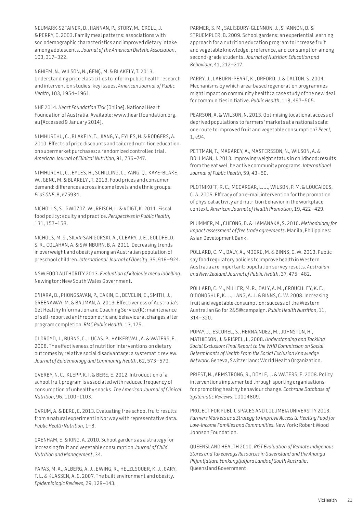NEUMARK-SZTAINER, D., HANNAN, P., STORY, M., CROLL, J. & PERRY, C. 2003. Family meal patterns: associations with sociodemographic characteristics and improved dietary intake among adolescents. *Journal of the American Dietetic Association*, 103, 317–322.

NGHIEM, N., WILSON, N., GENÇ, M. & BLAKELY, T. 2013. Understanding price elasticities to inform public health research and intervention studies: key issues. *American Journal of Public Health*, 103, 1954–1961.

NHF 2014. *Heart Foundation Tick* [Online]. National Heart Foundation of Australia. Available: [www.heartfoundation.org.](http://www.heartfoundation.org) au [Accessed 9 January 2014].

NI MHURCHU, C., BLAKELY, T., JIANG, Y., EYLES, H. & RODGERS, A. 2010. Effects of price discounts and tailored nutrition education on supermarket purchases: a randomized controlled trial. *American Journal of Clinical Nutrition*, 91, 736–747.

NI MHURCHU, C., EYLES, H., SCHILLING, C., YANG, Q., KAYE-BLAKE, W., GENC, M. & BLAKELY , T. 2013. Food prices and consumer demand: differences across income levels and ethnic groups. *PLoS ONE*, 8, e75934.

NICHOLLS, S., GWOZDZ, W., REISCH, L. & VOIGT, K. 2011. Fiscal food policy: equity and practice. *Perspectives in Public Health*, 131, 157–158.

NICHOLS, M. S., SILVA-SANIGORSKI, A., CLEARY, J. E., GOLDFELD, S. R., COLAHAN, A. & SWINBURN, B. A. 2011. Decreasing trends in overweight and obesity among an Australian population of preschool children. *International Journal of Obesity*, 35, 916–924.

NSW FOOD AUTHORITY 2013. *Evaluation of kilojoule menu labelling*. Newington: New South Wales Government.

O'HARA, B., PHONGSAVAN, P., EAKIN, E., DEVELIN, E., SMITH, J., GREENAWAY, M. & BAUMAN, A. 2013. Effectiveness of Australia's Get Healthy Information and Coaching Service(R): maintenance of self-reported anthropometric and behavioural changes after program completion. *BMC Public Health*, 13, 175.

OLDROYD, J., BURNS, C., LUCAS, P., HAIKERWAL, A. & WATERS, E. 2008. The effectiveness of nutrition interventions on dietary outcomes by relative social disadvantage: a systematic review. *Journal of Epidemiology and Community Health*, 62, 573–579.

OVERBY, N. C., KLEPP, K. I. & BERE, E. 2012. Introduction of a school fruit program is associated with reduced frequency of consumption of unhealthy snacks. *The American Journal of Clinical Nutrition*, 96, 1100–1103.

OVRUM, A. & BERE, E. 2013. Evaluating free school fruit: results from a natural experiment in Norway with representative data. *Public Health Nutrition*, 1–8.

OXENHAM, E. & KING, A. 2010. School gardens as a strategy for increasing fruit and vegetable consumption *Journal of Child Nutrition and Management*, 34.

PAPAS, M. A., ALBERG, A. J., EWING, R., HELZLSOUER, K. J., GARY, T. L. & KLASSEN, A. C. 2007. The built environment and obesity. *Epidemiologic Reviews*, 29, 129–143.

PARMER, S. M., SALISBURY-GLENNON, J., SHANNON, D. & STRUEMPLER, B. 2009. School gardens: an experiential learning approach for a nutrition education program to increase fruit and vegetable knowledge, preference, and consumption among second-grade students. *Journal of Nutrition Education and Behaviour*, 41, 212–217.

PARRY, J., LABURN-PEART, K., ORFORD, J. & DALTON, S. 2004. Mechanisms by which area-based regeneration programmes might impact on community health: a case study of the new deal for communities initiative. *Public Health*, 118, 497–505.

PEARSON, A. & WILSON, N. 2013. Optimising locational access of deprived populations to farmers' markets at a national scale: one route to improved fruit and vegetable consumption? *PeerJ*, 1, e94.

PETTMAN, T., MAGAREY, A., MASTERSSON, N., WILSON, A. & DOLLMAN, J. 2013. Improving weight status in childhood: results from the eat well be active community programs. *International Journal of Public Health*, 59, 43–50.

PLOTNIKOFF, R. C., MCCARGAR, L. J., WILSON, P. M. & LOUCAIDES, C. A. 2005. Efficacy of an e-mail intervention for the promotion of physical activity and nutrition behavior in the workplace context. *American Journal of Health Promotion*, 19, 422–429.

PLUMMER, M., CHEONG, D. & HAMANAKA, S. 2010. *Methodology for impact assessment of free trade agreements*. Manila, Philippines: Asian Development Bank.

POLLARD, C. M., DALY, A., MOORE, M. & BINNS, C. W. 2013. Public say food regulatory policies to improve health in Western Australia are important: population survey results. *Australian and New Zealand Journal of Public Health*, 37, 475–482.

POLLARD, C. M., MILLER, M. R., DALY, A. M., CROUCHLEY, K. E., O'DONOGHUE, K. J., LANG, A. J. & BINNS, C. W. 2008. Increasing fruit and vegetable consumption: success of the Western Australian Go for 2&5®campaign. *Public Health Nutrition*, 11, 314–320.

POPAY, J., ESCOREL, S., HERNÃ; NDEZ, M., JOHNSTON, H., MATHIESON, J. & RISPEL, L. 2008. *Understanding and Tackling Social Exclusion: Final Report to the WHO Commission on Social Determinants of Health From the Social Exclusion Knowledge Network*. Geneva, Switzerland: World Health Organization.

PRIEST, N., ARMSTRONG, R., DOYLE, J. & WATERS, E. 2008. Policy interventions implemented through sporting organisations for promoting healthy behaviour change. *Cochrane Database of Systematic Reviews*, CD004809.

PROJECT FOR PUBLIC SPACES AND COLUMBIA UNIVERSITY 2013. *Farmers Markets as a Strategy to Improve Access to Healthy Food for Low-Income Families and Communities*. New York: Robert Wood Johnson Foundation.

QUEENSLAND HEALTH 2010. *RIST Evaluation of Remote Indigenous Stores and Takeaways Resources in Queensland and the Anangu Pitjantjatjara Yankunytjatjara Lands of South Australia*. Queensland Government.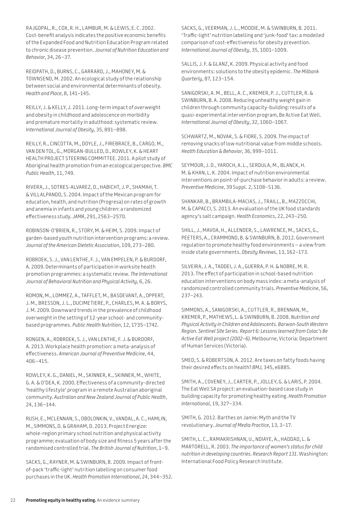RAJGOPAL, R., COX, R. H., LAMBUR, M. & LEWIS, E. C. 2002. Cost-benefit analysis indicates the positive economic benefits of the Expanded Food and Nutrition Education Program related to chronic disease prevention. *Journal of Nutrition Education and Behavior*, 34, 26–37.

REIDPATH, D., BURNS, C., GARRARD, J., MAHONEY, M. & TOWNSEND, M. 2002. An ecological study of the relationship between social and environmental determinants of obesity. *Health and Place*, 8, 141–145.

REILLY, J. & KELLY, J. 2011. Long-term impact of overweight and obesity in childhood and adolescence on morbidity and premature mortality in adulthood: systematic review. *International Journal of Obesity*, 35, 891–898.

REILLY, R., CINCOTTA, M., DOYLE, J., FIREBRACE, B., CARGO, M., VAN DEN TOL, G., MORGAN-BULLED, D., ROWLEY, K. & HEART HEALTH PROJECT STEERING COMMITTEE. 2011. A pilot study of Aboriginal health promotion from an ecological perspective. *BMC Public Health*, 11, 749.

RIVERA, J., SOTRES-ALVAREZ, D., HABICHT, J. P., SHAMAH, T. & VILLALPANDO, S. 2004. Impact of the Mexican program for education, health, and nutrition (Progresa) on rates of growth and anemia in infants and young children: a randomized effectiveness study. *JAMA*, 291, 2563–2570.

ROBINSON-O'BRIEN, R., STORY, M. & HEIM, S. 2009. Impact of garden-based youth nutrition intervention programs: a review. *Journal of the American Dietetic Association*, 109, 273–280.

ROBROEK, S. J., VAN LENTHE, F. J., VAN EMPELEN, P. & BURDORF, A. 2009. Determinants of participation in worksite health promotion programmes: a systematic review. *The International Journal of Behavioral Nutrition and Physical Activity*, 6, 26.

ROMON, M., LOMMEZ, A., TAFFLET, M., BASDEVANT, A., OPPERT, J. M., BRESSON, J. L., DUCIMETIERE, P., CHARLES, M. A. & BORYS, J. M. 2009. Downward trends in the prevalence of childhood overweight in the setting of 12-year school- and communitybased programmes. *Public Health Nutrition*, 12, 1735–1742.

RONGEN, A., ROBROEK, S. J., VAN LENTHE, F. J. & BURDORF, A. 2013. Workplace health promotion: a meta-analysis of effectiveness. *American Journal of Preventive Medicine*, 44, 406–415.

ROWLEY, K. G., DANIEL, M., SKINNER, K., SKINNER, M., WHITE, G. A. & O'DEA, K. 2000. Effectiveness of a community-directed 'healthy lifestyle' program in a remote Australian aboriginal community. *Australian and New Zealand Journal of Public Health*, 24, 136–144.

RUSH, E., MCLENNAN, S., OBOLONKIN, V., VANDAL, A. C., HAMLIN, M., SIMMONS, D. & GRAHAM, D. 2013. Project Energize: whole-region primary school nutrition and physical activity programme; evaluation of body size and fitness 5 years after the randomised controlled trial. *The British Journal of Nutrition*, 1–9.

SACKS, G., RAYNER, M. & SWINBURN, B. 2009. Impact of frontof-pack 'traffic-light' nutrition labelling on consumer food purchases in the UK. *Health Promotion International*, 24, 344–352. SACKS, G., VEERMAN, J. L., MOODIE, M. & SWINBURN, B. 2011. 'Traffic-light' nutrition labelling and 'junk-food' tax: a modelled comparison of cost-effectiveness for obesity prevention. *International Journal of Obesity*, 35, 1001–1009.

SALLIS, J. F. & GLANZ, K. 2009. Physical activity and food environments: solutions to the obesity epidemic. *The Milbank Quarterly*, 87, 123–154.

SANIGORSKI, A. M., BELL, A. C., KREMER, P. J., CUTTLER, R. & SWINBURN, B. A. 2008. Reducing unhealthy weight gain in children through community capacity-building: results of a quasi-experimental intervention program, Be Active Eat Well. *International Journal of Obesity*, 32, 1060–1067.

SCHWARTZ, M., NOVAK, S. & FIORE, S. 2009. The impact of removing snacks of low nutritional value from middle schools. *Health Education & Behavior*, 36, 999–1011.

SEYMOUR, J. D., YAROCH, A. L., SERDULA, M., BLANCK, H. M. & KHAN, L. K. 2004. Impact of nutrition environmental interventions on point-of-purchase behavior in adults: a review. *Preventive Medicine*, 39 Suppl. 2, S108–S136.

SHANKAR, B., BRAMBILA-MACIAS, J., TRAILL, B., MAZZOCCHI, M. & CAPACCI, S. 2013. An evaluation of the UK food standards agency's salt campaign. *Health Economics*, 22, 243–250.

SHILL, J., MAVOA, H., ALLENDER, S., LAWRENCE, M., SACKS, G., PEETERS, A., CRAMMOND, B. & SWINBURN, B. 2012. Government regulation to promote healthy food environments – a view from inside state governments. *Obesity Reviews*, 13, 162–173.

SILVEIRA, J. A., TADDEI, J. A., GUERRA, P. H. & NOBRE, M. R. 2013. The effect of participation in school-based nutrition education interventions on body mass index: a meta-analysis of randomized controlled community trials. *Preventive Medicine*, 56, 237–243.

SIMMONS, A., SANIGORSKI, A., CUTTLER, R., BRENNAN, M., KREMER, P., MATHEWS, L. & SWINBURN, B. 2008. *Nutrition and Physical Activity in Children and Adolescents. Barwon-South Western Region. Sentinel Site Series. Report 6: Lessons learned from Colac's Be Active Eat Well project (2002–6)*. Melbourne, Victoria: Department of Human Services (Victoria).

SMED, S. & ROBERTSON, A. 2012. Are taxes on fatty foods having their desired effects on health? *BMJ,* 345, e6885.

SMITH, A., COVENEY, J., CARTER, P., JOLLEY, G. & LARIS, P. 2004. The Eat Well SA project: an evaluation-based case study in building capacity for promoting healthy eating. *Health Promotion International*, 19, 327–334.

SMITH, G. 2012. Barthes on Jamie: Myth and the TV revolutionary. *Journal of Media Practice*, 13, 3–17.

SMITH, L. C., RAMAKRISHNAN, U., NDIAYE, A., HADDAD, L. & MARTORELL, R. 2003. *The importance of women's status for child nutrition in developing countries. Research Report 131*. Washington: International Food Policy Research Institute.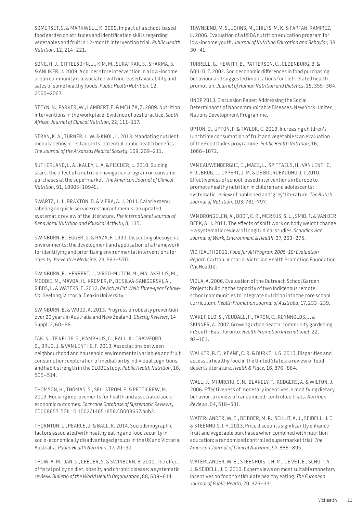SOMERSET, S. & MARKWELL, K. 2009. Impact of a school-based food garden on attitudes and identification skills regarding vegetables and fruit: a 12-month intervention trial. *Public Health Nutrition*, 12, 214–221.

SONG, H. J., GITTELSOHN, J., KIM, M., SURATKAR, S., SHARMA, S. & ANLIKER, J. 2009. A corner store intervention in a low-income urban community is associated with increased availability and sales of some healthy foods. *Public Health Nutrition*, 12, 2060–2067.

STEYN, N., PARKER, W., LAMBERT, E. & MCHIZA, Z. 2009. Nutrition interventions in the workplace: Evidence of best practice. *South African Journal of Clinical Nutrition*, 22, 111–117.

STRAN, K. A., TURNER, L. W. & KNOL, L. 2013. Mandating nutrient menu labeling in restaurants: potential public health benefits. *The Journal of the Arkansas Medical Society*, 109, 209–211.

SUTHERLAND, L. A., KALEY, L. A. & FISCHER, L. 2010. Guiding stars: the effect of a nutrition navigation program on consumer purchases at the supermarket. *The American Journal of Clinical Nutrition*, 91, 1090S–1094S.

SWARTZ, J. J., BRAXTON, D. & VIERA, A. J. 2011. Calorie menu labeling on quick-service restaurant menus: an updated systematic review of the literature. *The International Journal of Behavioral Nutrition and Physical Activity*, 8, 135.

SWINBURN, B., EGGER, G. & RAZA, F. 1999. Dissecting obesogenic environments: the development and application of a framework for identifying and prioritizing environmental interventions for obesity. *Preventive Medicine*, 29, 563–570.

SWINBURN, B., HERBERT, J., VIRGO-MILTON, M., MALAKELLIS, M., MOODIE, M., MAVOA, H., KREMER, P., DE SILVA-SANIGORSKI, A., GIBBS, L. & WATERS, E. 2012. *Be Active Eat Well: Three-year Follow-Up*. Geelong, Victoria: Deakin University.

SWINBURN, B. & WOOD, A. 2013. Progress on obesity prevention over 20 years in Australia and New Zealand. *Obesity Reviews*, 14 Suppl. 2, 60–68.

TAK, N., TE VELDE, S., KAMPHUIS, C., BALL, K., CRAWFORD, D., BRUG, J. & VAN LENTHE, F. 2013. Associations between neighbourhood and household environmental variables and fruit consumption: exploration of mediation by individual cognitions and habit strength in the GLOBE study. *Public Health Nutrition*, 16, 505–514.

THOMSON, H., THOMAS, S., SELLSTROM, E. & PETTICREW, M. 2013. Housing improvements for health and associated socioeconomic outcomes. *Cochrane Database of Systematic Reviews*, CD008657. DOI: 10.1002/14651858.CD008657.pub2.

THORNTON, L., PEARCE, J. & BALL, K. 2014. Sociodemographic factors associated with healthy eating and food security in socio-economically disadvantaged groups in the UK and Victoria, Australia. *Public Health Nutrition*, 17, 20–30.

THOW, A. M., JAN, S., LEEDER, S. & SWINBURN, B. 2010. The effect of fiscal policy on diet, obesity and chronic disease: a systematic review. *Bulletin of the World Health Organization*, 88, 609–614.

TOWNSEND, M. S., JOHNS, M., SHILTS, M. K. & FARFAN-RAMIREZ, L. 2006. Evaluation of a USDA nutrition education program for low-income youth. *Journal of Nutrition Education and Behavior*, 38, 30–41.

TURRELL, G., HEWITT, B., PATTERSON, C., OLDENBURG, B. & GOULD, T. 2002. Socioeconomic differences in food purchasing behaviour and suggested implications for diet-related health promotion. *Journal of Human Nutrition and Dietetics*, 15, 355–364.

UNDP 2013. Discussion Paper: Addressing the Social Determinants of Noncommunicable Diseases. New York: United Nations Development Programme.

UPTON, D., UPTON, P. & TAYLOR, C. 2013. Increasing children's lunchtime consumption of fruit and vegetables: an evaluation of the Food Dudes programme. *Public Health Nutrition*, 16, 1066–1072.

VAN CAUWENBERGHE, E., MAES, L., SPITTAELS, H., VAN LENTHE, F. J., BRUG, J., OPPERT, J. M. & DE BOURDEAUDHUIJ, I. 2010. Effectiveness of school-based interventions in Europe to promote healthy nutrition in children and adolescents: systematic review of published and 'grey' literature. *The British Journal of Nutrition*, 103, 781–797.

VAN DRONGELEN, A., BOOT, C. R., MERKUS, S. L., SMID, T. & VAN DER BEEK, A. J. 2011. The effects of shift work on body weight change – a systematic review of longitudinal studies. *Scandinavian Journal of Work, Environment & Health*, 37, 263–275.

VICHEALTH 2011. *Food for All Program 2005–10: Evaluation Report*. Carlton, Victoria: Victorian Health Promotion Foundation (VicHealth).

VIOLA, A. 2006. Evaluation of the Outreach School Garden Project: building the capacity of two Indigenous remote school communities to integrate nutrition into the core school curriculum. *Health Promotion Journal of Australia*, 17, 233–239.

WAKEFIELD, S., YEUDALL, F., TARON, C., REYNNOLDS, J. & SKINNER, A. 2007. Growing urban health: community gardening in South-East Toronto. *Health Promotion International*, 22, 92–101.

WALKER, R. E., KEANE, C. R. & BURKE, J. G. 2010. Disparities and access to healthy food in the United States: a review of food deserts literature. *Health & Place*, 16, 876–884.

WALL, J., MHURCHU, C. N., BLAKELY, T., RODGERS, A. & WILTON, J. 2006. Effectiveness of monetary incentives in modifying dietary behavior: a review of randomized, controlled trials. *Nutrition Reviews*, 64, 518–531.

WATERLANDER, W. E., DE BOER, M. R., SCHUIT, A. J., SEIDELL, J. C. & STEENHUIS, I. H. 2013. Price discounts significantly enhance fruit and vegetable purchases when combined with nutrition education: a randomized controlled supermarket trial. *The American Journal of Clinical Nutrition*, 97, 886–895.

WATERLANDER, W. E., STEENHUIS, I. H. M., DE VET, E., SCHUIT, A. J. & SEIDELL, J. C. 2010. Expert views on most suitable monetary incentives on food to stimulate healthy eating. *The European Journal of Public Health*, 20, 325–331.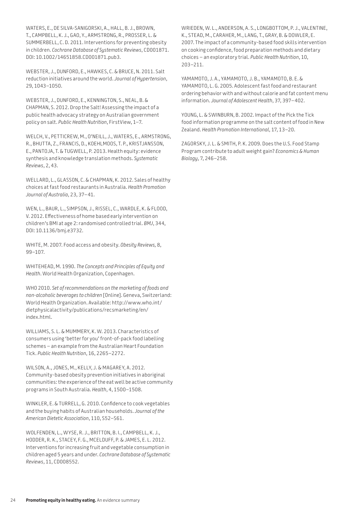WATERS, E., DE SILVA-SANIGORSKI, A., HALL, B. J., BROWN, T., CAMPBELL, K. J., GAO, Y., ARMSTRONG, R., PROSSER, L. & SUMMERBELL, C. D. 2011. Interventions for preventing obesity in children. *Cochrane Database of Systematic Reviews*, CD001871. DOI: 10.1002/14651858.CD001871.pub3.

WEBSTER, J., DUNFORD, E., HAWKES, C. & BRUCE, N. 2011. Salt reduction initiatives around the world. *Journal of Hypertension*, 29, 1043–1050.

WEBSTER, J., DUNFORD, E., KENNINGTON, S., NEAL, B. & CHAPMAN, S. 2012. Drop the Salt! Assessing the impact of a public health advocacy strategy on Australian government policy on salt. *Public Health Nutrition*, FirstView, 1–7.

WELCH, V., PETTICREW, M., O'NEILL, J., WATERS, E., ARMSTRONG, R., BHUTTA, Z., FRANCIS, D., KOEHLMOOS, T. P., KRISTJANSSON, E., PANTOJA, T. & TUGWELL, P. 2013. Health equity: evidence synthesis and knowledge translation methods. *Systematic Reviews*, 2, 43.

WELLARD, L., GLASSON, C. & CHAPMAN, K. 2012. Sales of healthy choices at fast food restaurants in Australia. *Health Promotion Journal of Australia*, 23, 37–41.

WEN, L., BAUR, L., SIMPSON, J., RISSEL, C., WARDLE, K. & FLOOD, V. 2012. Effectiveness of home based early intervention on children's BMI at age 2: randomised controlled trial. *BMJ*, 344, DOI: 10.1136/bmj.e3732.

WHITE, M. 2007. Food access and obesity. *Obesity Reviews,* 8, 99–107.

WHITEHEAD, M. 1990. *The Concepts and Principles of Equity and Health*. World Health Organization, Copenhagen.

WHO 2010. *Set of recommendations on the marketing of foods and non-alcoholic beverages to children* [Online]. Geneva, Switzerland: World Health Organization. Available: <http://www.who.int/> dietphysicalactivity/publications/recsmarketing/en/ index.html.

WILLIAMS, S. L. & MUMMERY, K. W. 2013. Characteristics of consumers using 'better for you' front-of-pack food labelling schemes – an example from the Australian Heart Foundation Tick. *Public Health Nutrition*, 16, 2265–2272.

WILSON, A., JONES, M., KELLY, J. & MAGAREY, A. 2012. Community-based obesity prevention initiatives in aboriginal communities: the experience of the eat well be active community programs in South Australia. *Health*, 4, 1500–1508.

WINKLER, E. & TURRELL, G. 2010. Confidence to cook vegetables and the buying habits of Australian households. *Journal of the American Dietetic Association*, 110, S52–S61.

WOLFENDEN, L., WYSE, R. J., BRITTON, B. I., CAMPBELL, K. J., HODDER, R. K., STACEY, F. G., MCELDUFF, P. & JAMES, E. L. 2012. Interventions for increasing fruit and vegetable consumption in children aged 5 years and under. *Cochrane Database of Systematic Reviews*, 11, CD008552.

WRIEDEN, W. L., ANDERSON, A. S., LONGBOTTOM, P. J., VALENTINE, K., STEAD, M., CARAHER, M., LANG, T., GRAY, B. & DOWLER, E. 2007. The impact of a community-based food skills intervention on cooking confidence, food preparation methods and dietary choices – an exploratory trial. *Public Health Nutrition*, 10, 203–211.

YAMAMOTO, J. A., YAMAMOTO, J. B., YAMAMOTO, B. E. & YAMAMOTO, L. G. 2005. Adolescent fast food and restaurant ordering behavior with and without calorie and fat content menu information. *Journal of Adolescent Health*, 37, 397–402.

YOUNG, L. & SWINBURN, B. 2002. Impact of the Pick the Tick food information programme on the salt content of food in New Zealand. *Health Promotion International*, 17, 13–20.

ZAGORSKY, J. L. & SMITH, P. K. 2009. Does the U.S. Food Stamp Program contribute to adult weight gain? *Economics & Human Biology*, 7, 246–258.